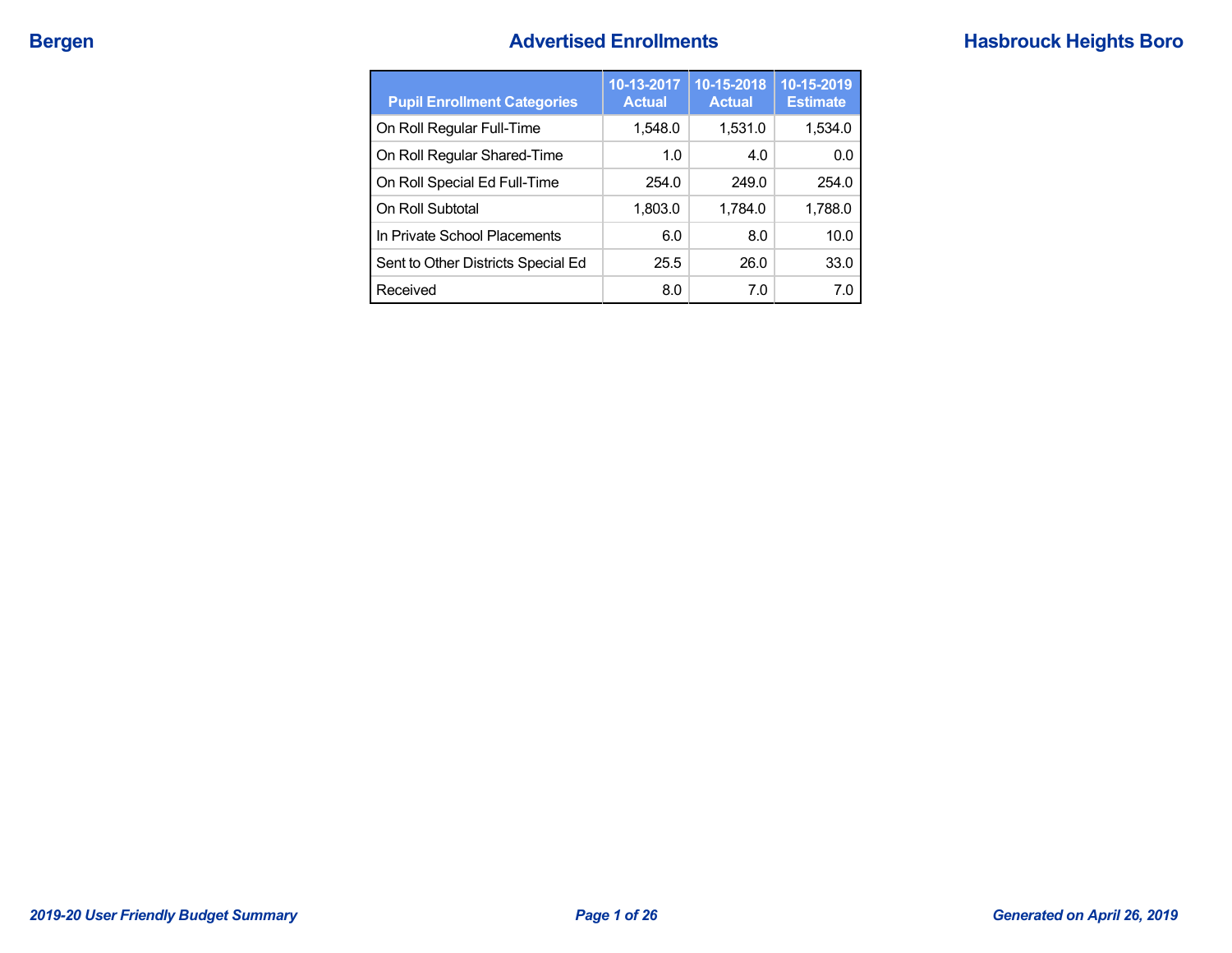## **Bergen Bergen Advertised Enrollments Hasbrouck Heights Boro**

| <b>Pupil Enrollment Categories</b> | 10-13-2017<br><b>Actual</b> | 10-15-2018<br><b>Actual</b> | 10-15-2019<br><b>Estimate</b> |
|------------------------------------|-----------------------------|-----------------------------|-------------------------------|
| On Roll Regular Full-Time          | 1,548.0                     | 1,531.0                     | 1,534.0                       |
| On Roll Regular Shared-Time        | 1.0                         | 4.0                         | 0.0                           |
| On Roll Special Ed Full-Time       | 254.0                       | 249.0                       | 254.0                         |
| On Roll Subtotal                   | 1,803.0                     | 1,784.0                     | 1,788.0                       |
| In Private School Placements       | 6.0                         | 8.0                         | 10.0                          |
| Sent to Other Districts Special Ed | 25.5                        | 26.0                        | 33.0                          |
| Received                           | 8.0                         | 7.0                         | 7.0                           |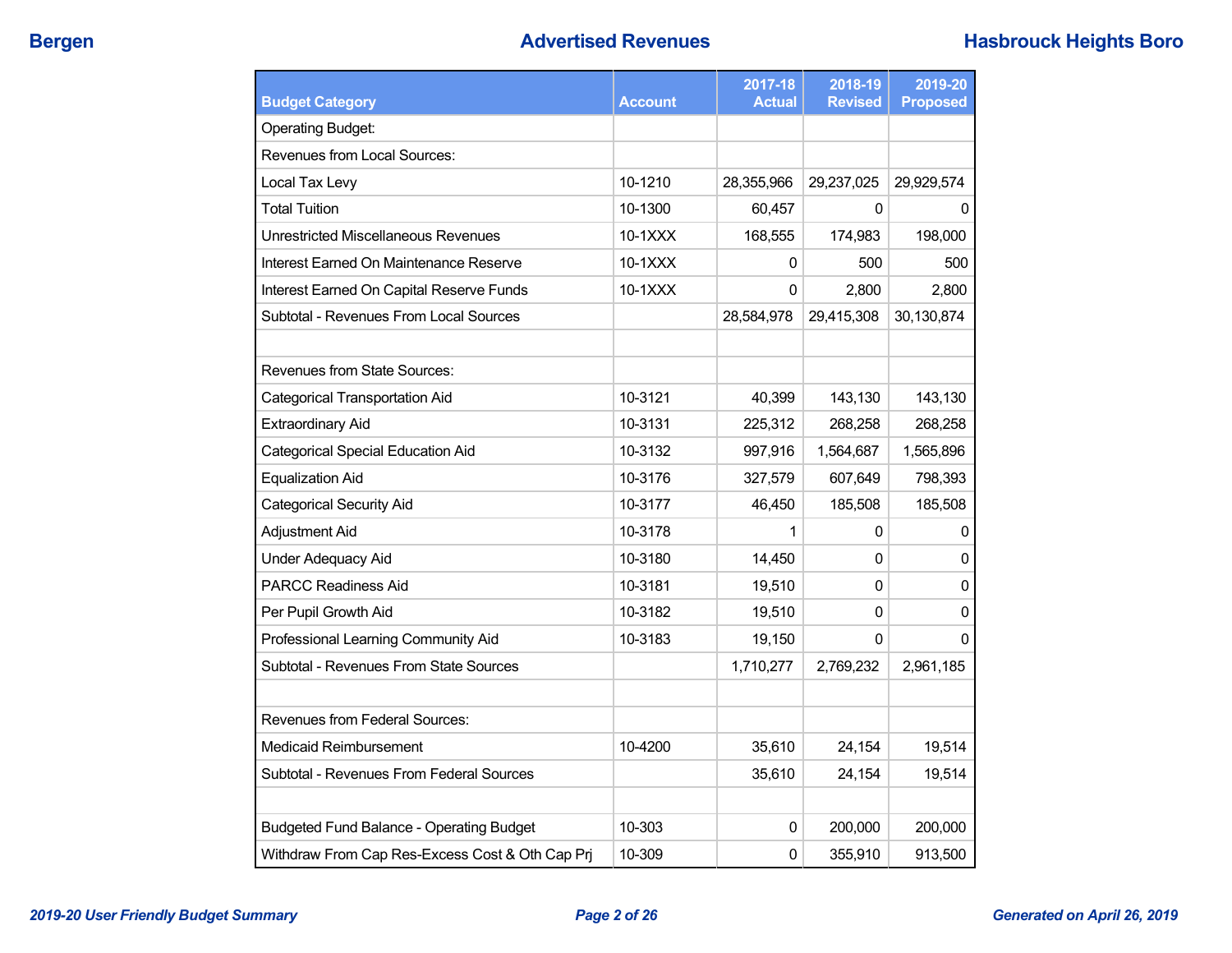| <b>Budget Category</b>                          | <b>Account</b> | 2017-18<br><b>Actual</b> | 2018-19<br><b>Revised</b> | 2019-20<br><b>Proposed</b> |
|-------------------------------------------------|----------------|--------------------------|---------------------------|----------------------------|
| <b>Operating Budget:</b>                        |                |                          |                           |                            |
| Revenues from Local Sources:                    |                |                          |                           |                            |
|                                                 |                |                          |                           |                            |
| Local Tax Levy                                  | 10-1210        | 28,355,966               | 29,237,025                | 29,929,574                 |
| <b>Total Tuition</b>                            | 10-1300        | 60,457                   | 0                         | 0                          |
| Unrestricted Miscellaneous Revenues             | $10-1XXX$      | 168,555                  | 174,983                   | 198,000                    |
| Interest Earned On Maintenance Reserve          | $10-1XXX$      | 0                        | 500                       | 500                        |
| Interest Earned On Capital Reserve Funds        | 10-1XXX        | $\Omega$                 | 2,800                     | 2,800                      |
| Subtotal - Revenues From Local Sources          |                | 28,584,978               | 29,415,308                | 30,130,874                 |
|                                                 |                |                          |                           |                            |
| Revenues from State Sources:                    |                |                          |                           |                            |
| <b>Categorical Transportation Aid</b>           | 10-3121        | 40,399                   | 143,130                   | 143,130                    |
| <b>Extraordinary Aid</b>                        | 10-3131        | 225,312                  | 268,258                   | 268,258                    |
| <b>Categorical Special Education Aid</b>        | 10-3132        | 997,916                  | 1,564,687                 | 1,565,896                  |
| <b>Equalization Aid</b>                         | 10-3176        | 327,579                  | 607,649                   | 798,393                    |
| <b>Categorical Security Aid</b>                 | 10-3177        | 46,450                   | 185,508                   | 185,508                    |
| <b>Adjustment Aid</b>                           | 10-3178        | 1                        | 0                         | 0                          |
| <b>Under Adequacy Aid</b>                       | 10-3180        | 14,450                   | 0                         | $\mathbf{0}$               |
| <b>PARCC Readiness Aid</b>                      | 10-3181        | 19,510                   | 0                         | 0                          |
| Per Pupil Growth Aid                            | 10-3182        | 19,510                   | 0                         | $\mathbf{0}$               |
| Professional Learning Community Aid             | 10-3183        | 19,150                   | 0                         | $\Omega$                   |
| Subtotal - Revenues From State Sources          |                | 1,710,277                | 2,769,232                 | 2,961,185                  |
|                                                 |                |                          |                           |                            |
| Revenues from Federal Sources:                  |                |                          |                           |                            |
| Medicaid Reimbursement                          | 10-4200        | 35,610                   | 24,154                    | 19,514                     |
| Subtotal - Revenues From Federal Sources        |                | 35,610                   | 24,154                    | 19,514                     |
|                                                 |                |                          |                           |                            |
| <b>Budgeted Fund Balance - Operating Budget</b> | 10-303         | 0                        | 200,000                   | 200,000                    |
| Withdraw From Cap Res-Excess Cost & Oth Cap Prj | 10-309         | $\pmb{0}$                | 355,910                   | 913,500                    |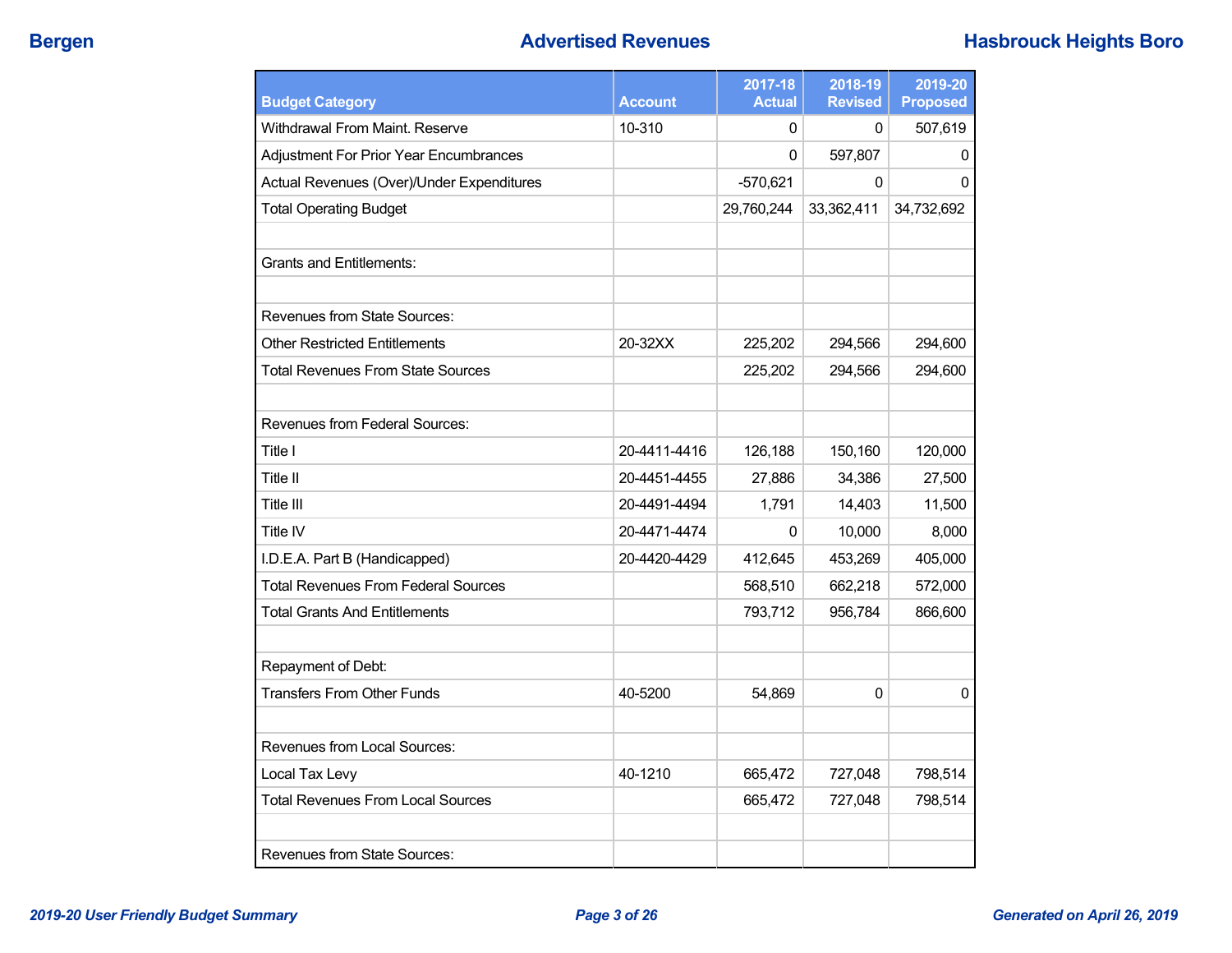| <b>Budget Category</b>                     | <b>Account</b> | 2017-18<br><b>Actual</b> | 2018-19<br><b>Revised</b> | 2019-20<br><b>Proposed</b> |
|--------------------------------------------|----------------|--------------------------|---------------------------|----------------------------|
| Withdrawal From Maint. Reserve             | 10-310         | $\Omega$                 | 0                         | 507,619                    |
| Adjustment For Prior Year Encumbrances     |                | 0                        | 597,807                   | 0                          |
| Actual Revenues (Over)/Under Expenditures  |                | $-570,621$               | 0                         | $\mathbf{0}$               |
| <b>Total Operating Budget</b>              |                | 29,760,244               | 33,362,411                | 34,732,692                 |
| <b>Grants and Entitlements:</b>            |                |                          |                           |                            |
| <b>Revenues from State Sources:</b>        |                |                          |                           |                            |
| <b>Other Restricted Entitlements</b>       | 20-32XX        | 225,202                  | 294,566                   | 294,600                    |
| <b>Total Revenues From State Sources</b>   |                | 225,202                  | 294,566                   | 294,600                    |
| Revenues from Federal Sources:             |                |                          |                           |                            |
| Title I                                    | 20-4411-4416   | 126,188                  | 150,160                   | 120,000                    |
| Title II                                   | 20-4451-4455   | 27,886                   | 34,386                    | 27,500                     |
| Title III                                  | 20-4491-4494   | 1,791                    | 14,403                    | 11,500                     |
| Title IV                                   | 20-4471-4474   | 0                        | 10,000                    | 8,000                      |
| I.D.E.A. Part B (Handicapped)              | 20-4420-4429   | 412,645                  | 453,269                   | 405,000                    |
| <b>Total Revenues From Federal Sources</b> |                | 568,510                  | 662,218                   | 572,000                    |
| <b>Total Grants And Entitlements</b>       |                | 793,712                  | 956,784                   | 866,600                    |
| Repayment of Debt:                         |                |                          |                           |                            |
| <b>Transfers From Other Funds</b>          | 40-5200        | 54,869                   | 0                         | 0                          |
| Revenues from Local Sources:               |                |                          |                           |                            |
| Local Tax Levy                             | 40-1210        | 665,472                  | 727,048                   | 798,514                    |
| <b>Total Revenues From Local Sources</b>   |                | 665,472                  | 727,048                   | 798,514                    |
| <b>Revenues from State Sources:</b>        |                |                          |                           |                            |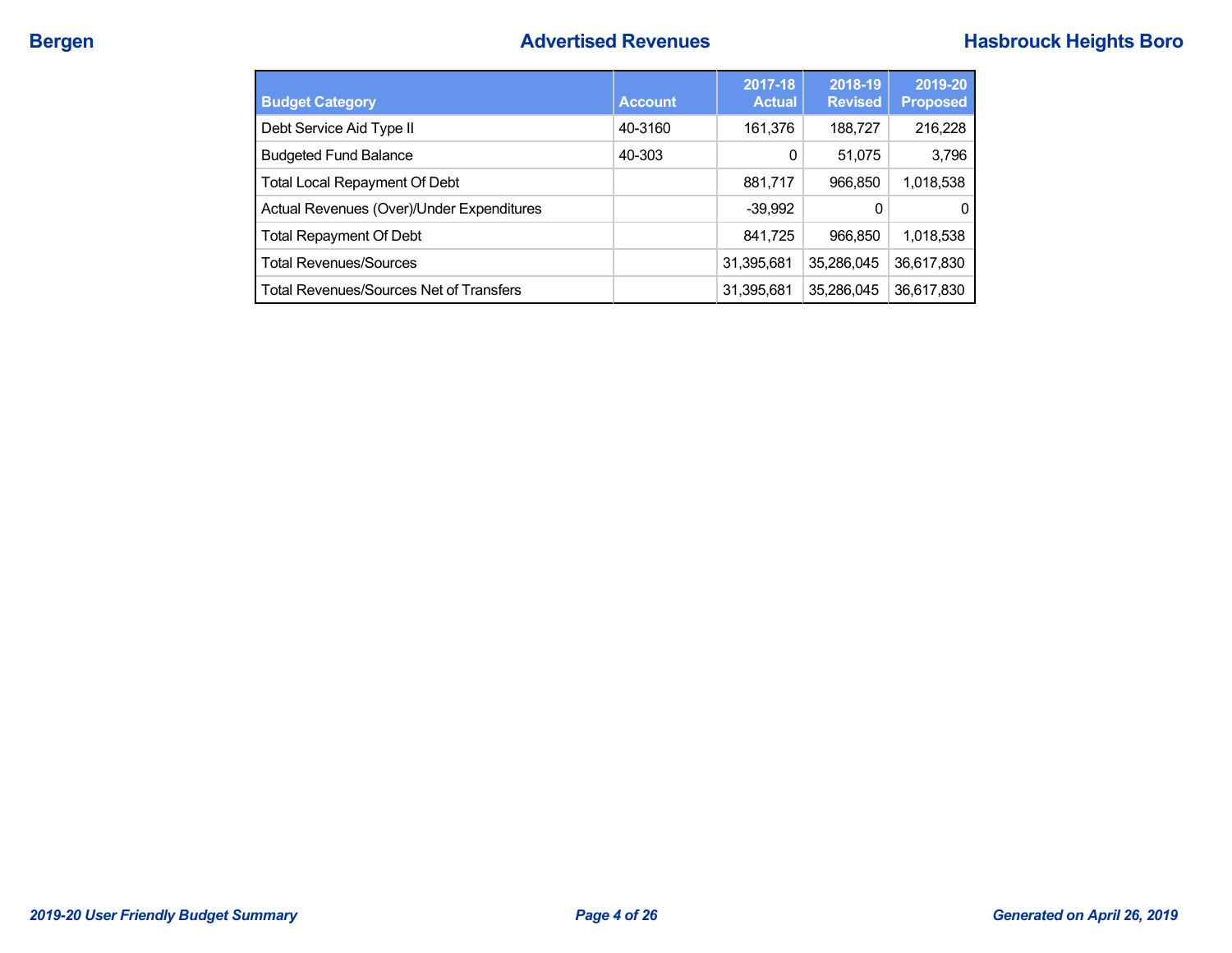| <b>Budget Category</b>                         | <b>Account</b> | 2017-18<br><b>Actual</b> | 2018-19<br><b>Revised</b> | 2019-20<br><b>Proposed</b> |
|------------------------------------------------|----------------|--------------------------|---------------------------|----------------------------|
| Debt Service Aid Type II                       | 40-3160        | 161,376                  | 188,727                   | 216,228                    |
| <b>Budgeted Fund Balance</b>                   | 40-303         | 0                        | 51,075                    | 3,796                      |
| <b>Total Local Repayment Of Debt</b>           |                | 881,717                  | 966,850                   | 1,018,538                  |
| Actual Revenues (Over)/Under Expenditures      |                | $-39,992$                | 0                         | $\Omega$                   |
| <b>Total Repayment Of Debt</b>                 |                | 841,725                  | 966,850                   | 1,018,538                  |
| <b>Total Revenues/Sources</b>                  |                | 31,395,681               | 35.286.045                | 36,617,830                 |
| <b>Total Revenues/Sources Net of Transfers</b> |                | 31,395,681               | 35,286,045                | 36,617,830                 |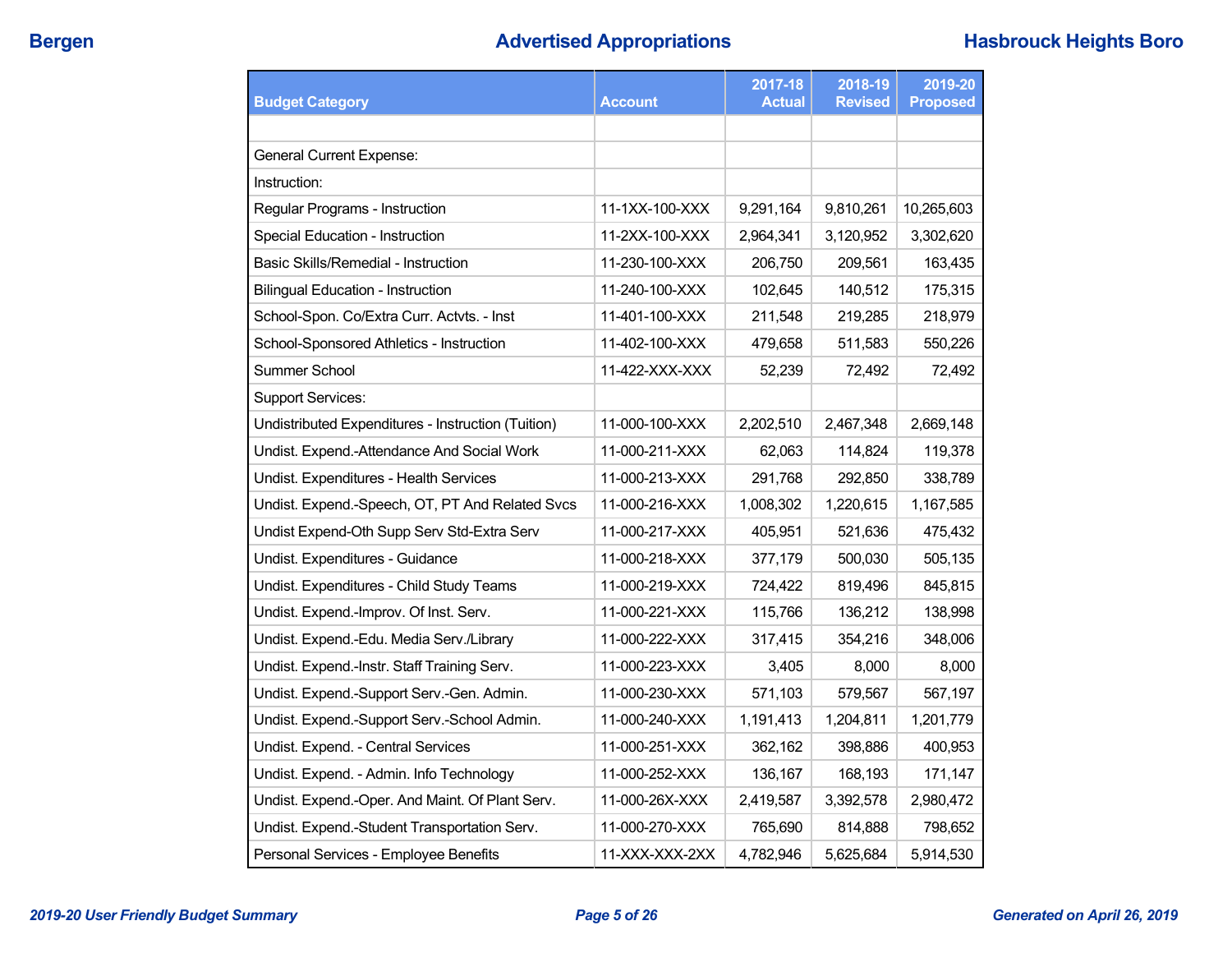| <b>Budget Category</b><br><b>Account</b>           |                | 2017-18<br><b>Actual</b> | 2018-19<br><b>Revised</b> | 2019-20<br><b>Proposed</b> |
|----------------------------------------------------|----------------|--------------------------|---------------------------|----------------------------|
|                                                    |                |                          |                           |                            |
| <b>General Current Expense:</b>                    |                |                          |                           |                            |
| Instruction:                                       |                |                          |                           |                            |
| Regular Programs - Instruction                     | 11-1XX-100-XXX | 9,291,164                | 9,810,261                 | 10,265,603                 |
| Special Education - Instruction                    | 11-2XX-100-XXX | 2,964,341                | 3,120,952                 | 3,302,620                  |
| Basic Skills/Remedial - Instruction                | 11-230-100-XXX | 206,750                  | 209,561                   | 163,435                    |
| <b>Bilingual Education - Instruction</b>           | 11-240-100-XXX | 102,645                  | 140,512                   | 175,315                    |
| School-Spon. Co/Extra Curr. Actvts. - Inst         | 11-401-100-XXX | 211,548                  | 219,285                   | 218,979                    |
| School-Sponsored Athletics - Instruction           | 11-402-100-XXX | 479,658                  | 511,583                   | 550,226                    |
| Summer School                                      | 11-422-XXX-XXX | 52,239                   | 72,492                    | 72,492                     |
| <b>Support Services:</b>                           |                |                          |                           |                            |
| Undistributed Expenditures - Instruction (Tuition) | 11-000-100-XXX | 2,202,510                | 2,467,348                 | 2,669,148                  |
| Undist. Expend.-Attendance And Social Work         | 11-000-211-XXX | 62,063                   | 114,824                   | 119,378                    |
| Undist. Expenditures - Health Services             | 11-000-213-XXX | 291,768                  | 292,850                   | 338,789                    |
| Undist. Expend.-Speech, OT, PT And Related Svcs    | 11-000-216-XXX | 1,008,302                | 1,220,615                 | 1,167,585                  |
| Undist Expend-Oth Supp Serv Std-Extra Serv         | 11-000-217-XXX | 405,951                  | 521,636                   | 475,432                    |
| Undist. Expenditures - Guidance                    | 11-000-218-XXX | 377,179                  | 500,030                   | 505,135                    |
| Undist. Expenditures - Child Study Teams           | 11-000-219-XXX | 724,422                  | 819,496                   | 845,815                    |
| Undist. Expend.-Improv. Of Inst. Serv.             | 11-000-221-XXX | 115,766                  | 136,212                   | 138,998                    |
| Undist. Expend.-Edu. Media Serv./Library           | 11-000-222-XXX | 317,415                  | 354,216                   | 348,006                    |
| Undist. Expend.-Instr. Staff Training Serv.        | 11-000-223-XXX | 3,405                    | 8,000                     | 8,000                      |
| Undist. Expend.-Support Serv.-Gen. Admin.          | 11-000-230-XXX | 571,103                  | 579,567                   | 567,197                    |
| Undist. Expend.-Support Serv.-School Admin.        | 11-000-240-XXX | 1,191,413                | 1,204,811                 | 1,201,779                  |
| Undist. Expend. - Central Services                 | 11-000-251-XXX | 362,162                  | 398,886                   | 400,953                    |
| Undist. Expend. - Admin. Info Technology           | 11-000-252-XXX | 136,167                  | 168,193                   | 171,147                    |
| Undist. Expend.-Oper. And Maint. Of Plant Serv.    | 11-000-26X-XXX | 2,419,587                | 3,392,578                 | 2,980,472                  |
| Undist. Expend.-Student Transportation Serv.       | 11-000-270-XXX | 765,690                  | 814,888                   | 798,652                    |
| Personal Services - Employee Benefits              | 11-XXX-XXX-2XX | 4,782,946                | 5,625,684                 | 5,914,530                  |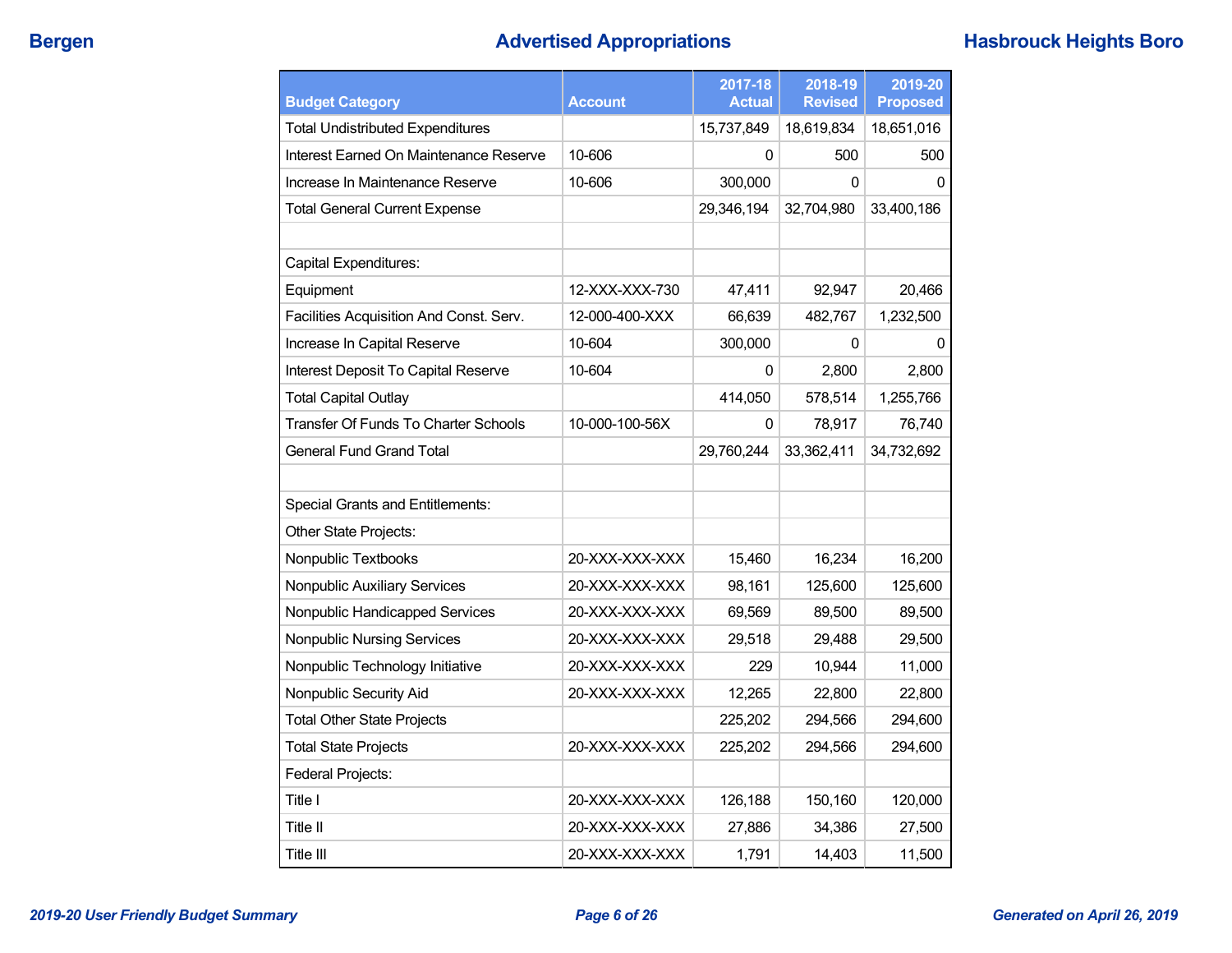## **Bergen Advertised Appropriations Hasbrouck Heights Boro**

| <b>Budget Category</b>                  | <b>Account</b> | 2017-18<br><b>Actual</b> | 2018-19<br><b>Revised</b> | 2019-20<br><b>Proposed</b> |
|-----------------------------------------|----------------|--------------------------|---------------------------|----------------------------|
| <b>Total Undistributed Expenditures</b> |                | 15,737,849               | 18,619,834                | 18,651,016                 |
| Interest Earned On Maintenance Reserve  | 10-606         | 0                        | 500                       | 500                        |
| Increase In Maintenance Reserve         | 10-606         | 300,000                  | 0                         | 0                          |
| <b>Total General Current Expense</b>    |                | 29,346,194               | 32,704,980                | 33,400,186                 |
|                                         |                |                          |                           |                            |
| Capital Expenditures:                   |                |                          |                           |                            |
| Equipment                               | 12-XXX-XXX-730 | 47,411                   | 92,947                    | 20,466                     |
| Facilities Acquisition And Const. Serv. | 12-000-400-XXX | 66,639                   | 482,767                   | 1,232,500                  |
| Increase In Capital Reserve             | 10-604         | 300,000                  | 0                         | $\Omega$                   |
| Interest Deposit To Capital Reserve     | 10-604         | 0                        | 2,800                     | 2,800                      |
| <b>Total Capital Outlay</b>             |                | 414,050                  | 578,514                   | 1,255,766                  |
| Transfer Of Funds To Charter Schools    | 10-000-100-56X | 0                        | 78,917                    | 76,740                     |
| <b>General Fund Grand Total</b>         |                | 29.760.244               | 33,362,411                | 34,732,692                 |
|                                         |                |                          |                           |                            |
| <b>Special Grants and Entitlements:</b> |                |                          |                           |                            |
| Other State Projects:                   |                |                          |                           |                            |
| Nonpublic Textbooks                     | 20-XXX-XXX-XXX | 15,460                   | 16,234                    | 16,200                     |
| <b>Nonpublic Auxiliary Services</b>     | 20-XXX-XXX-XXX | 98,161                   | 125,600                   | 125,600                    |
| Nonpublic Handicapped Services          | 20-XXX-XXX-XXX | 69,569                   | 89,500                    | 89,500                     |
| <b>Nonpublic Nursing Services</b>       | 20-XXX-XXX-XXX | 29,518                   | 29,488                    | 29,500                     |
| Nonpublic Technology Initiative         | 20-XXX-XXX-XXX | 229                      | 10,944                    | 11,000                     |
| Nonpublic Security Aid                  | 20-XXX-XXX-XXX | 12,265                   | 22,800                    | 22,800                     |
| <b>Total Other State Projects</b>       |                | 225,202                  | 294,566                   | 294,600                    |
| <b>Total State Projects</b>             | 20-XXX-XXX-XXX | 225,202                  | 294,566                   | 294,600                    |
| Federal Projects:                       |                |                          |                           |                            |
| Title I                                 | 20-XXX-XXX-XXX | 126,188                  | 150,160                   | 120,000                    |
| Title II                                | 20-XXX-XXX-XXX | 27,886                   | 34,386                    | 27,500                     |
| Title III                               | 20-XXX-XXX-XXX | 1,791                    | 14,403                    | 11,500                     |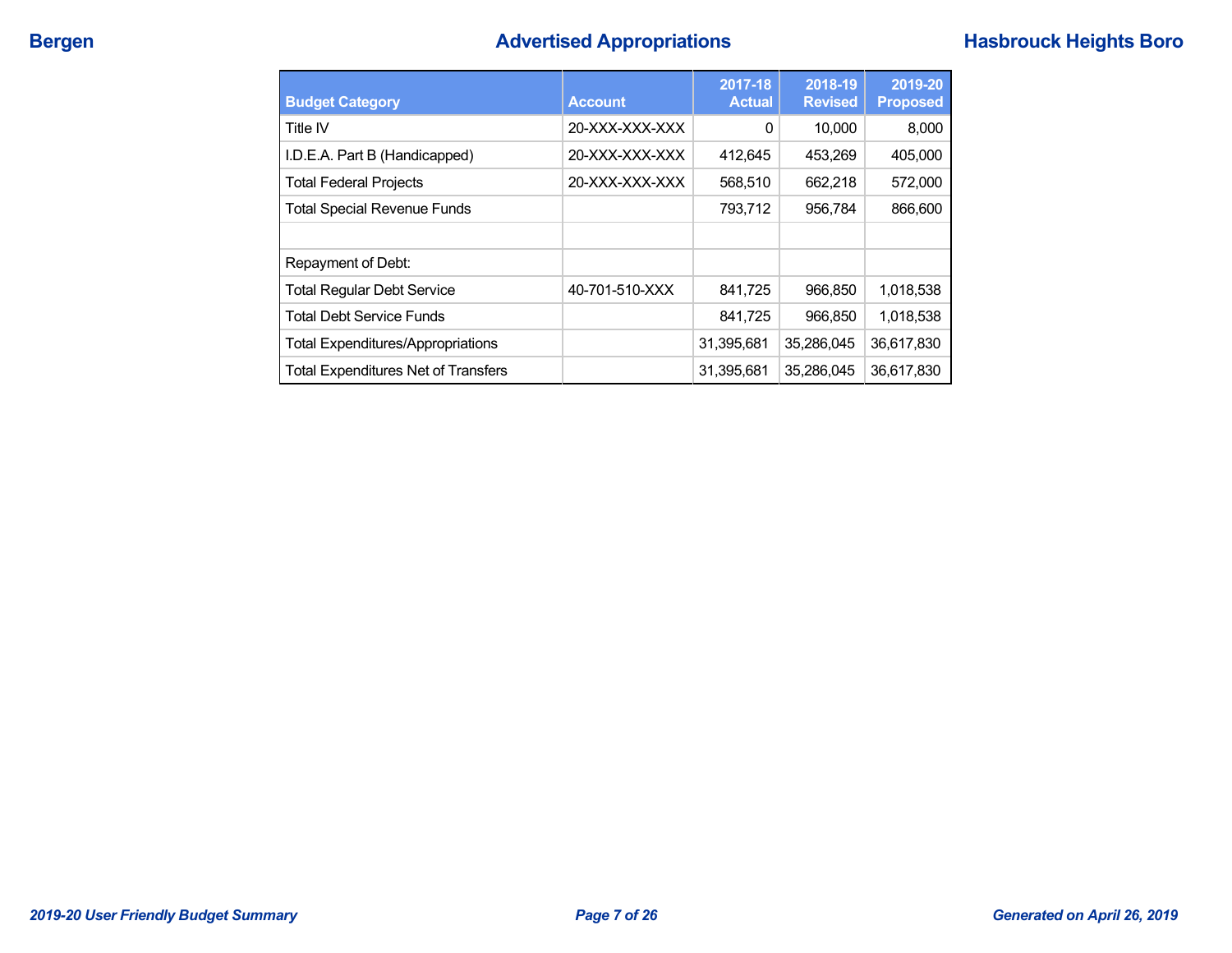# **Bergen Advertised Appropriations Hasbrouck Heights Boro**

| <b>Budget Category</b>                     | <b>Account</b> | 2017-18<br><b>Actual</b> | 2018-19<br><b>Revised</b> | 2019-20<br><b>Proposed</b> |
|--------------------------------------------|----------------|--------------------------|---------------------------|----------------------------|
| Title IV                                   | 20-XXX-XXX-XXX | 0                        | 10,000                    | 8,000                      |
| I.D.E.A. Part B (Handicapped)              | 20-XXX-XXX-XXX | 412.645                  | 453,269                   | 405,000                    |
| <b>Total Federal Projects</b>              | 20-XXX-XXX-XXX | 568,510                  | 662.218                   | 572,000                    |
| <b>Total Special Revenue Funds</b>         |                | 793,712                  | 956,784                   | 866,600                    |
|                                            |                |                          |                           |                            |
| Repayment of Debt:                         |                |                          |                           |                            |
| <b>Total Regular Debt Service</b>          | 40-701-510-XXX | 841,725                  | 966,850                   | 1,018,538                  |
| <b>Total Debt Service Funds</b>            |                | 841,725                  | 966,850                   | 1,018,538                  |
| <b>Total Expenditures/Appropriations</b>   |                | 31,395,681               | 35,286,045                | 36,617,830                 |
| <b>Total Expenditures Net of Transfers</b> |                | 31,395,681               | 35.286.045                | 36,617,830                 |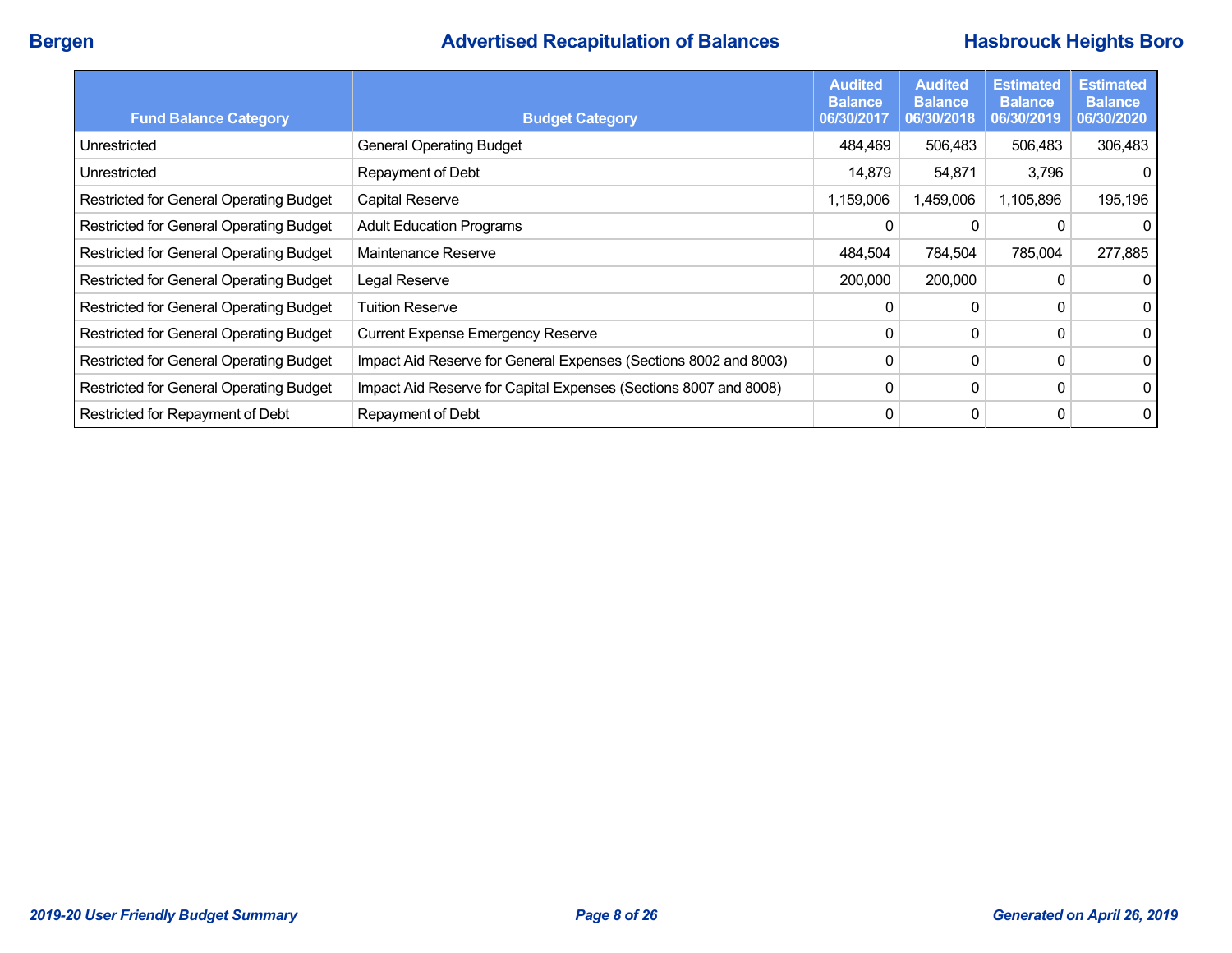## **Bergen Advertised Recapitulation of Balances Hasbrouck Heights Boro**

| <b>Fund Balance Category</b>            | <b>Budget Category</b>                                           | <b>Audited</b><br><b>Balance</b><br>06/30/2017 | <b>Audited</b><br><b>Balance</b><br>06/30/2018 | <b>Estimated</b><br><b>Balance</b><br>06/30/2019 | <b>Estimated</b><br><b>Balance</b><br>06/30/2020 |
|-----------------------------------------|------------------------------------------------------------------|------------------------------------------------|------------------------------------------------|--------------------------------------------------|--------------------------------------------------|
| Unrestricted                            | <b>General Operating Budget</b>                                  | 484,469                                        | 506,483                                        | 506,483                                          | 306,483                                          |
| Unrestricted                            | Repayment of Debt                                                | 14,879                                         | 54,871                                         | 3,796                                            | 0                                                |
| Restricted for General Operating Budget | Capital Reserve                                                  | 1,159,006                                      | 1,459,006                                      | 1,105,896                                        | 195,196                                          |
| Restricted for General Operating Budget | <b>Adult Education Programs</b>                                  | 0                                              | 0                                              |                                                  | 0                                                |
| Restricted for General Operating Budget | Maintenance Reserve                                              | 484,504                                        | 784,504                                        | 785,004                                          | 277,885                                          |
| Restricted for General Operating Budget | Legal Reserve                                                    | 200,000                                        | 200,000                                        |                                                  | $\overline{0}$                                   |
| Restricted for General Operating Budget | <b>Tuition Reserve</b>                                           | 0                                              | 0                                              |                                                  | 0                                                |
| Restricted for General Operating Budget | <b>Current Expense Emergency Reserve</b>                         | 0                                              | 0                                              |                                                  | $\overline{0}$                                   |
| Restricted for General Operating Budget | Impact Aid Reserve for General Expenses (Sections 8002 and 8003) | 0                                              | 0                                              | 0                                                | $\overline{0}$                                   |
| Restricted for General Operating Budget | Impact Aid Reserve for Capital Expenses (Sections 8007 and 8008) | 0                                              | 0                                              |                                                  | $\overline{0}$                                   |
| Restricted for Repayment of Debt        | Repayment of Debt                                                | 0                                              | 0                                              |                                                  | $\overline{0}$                                   |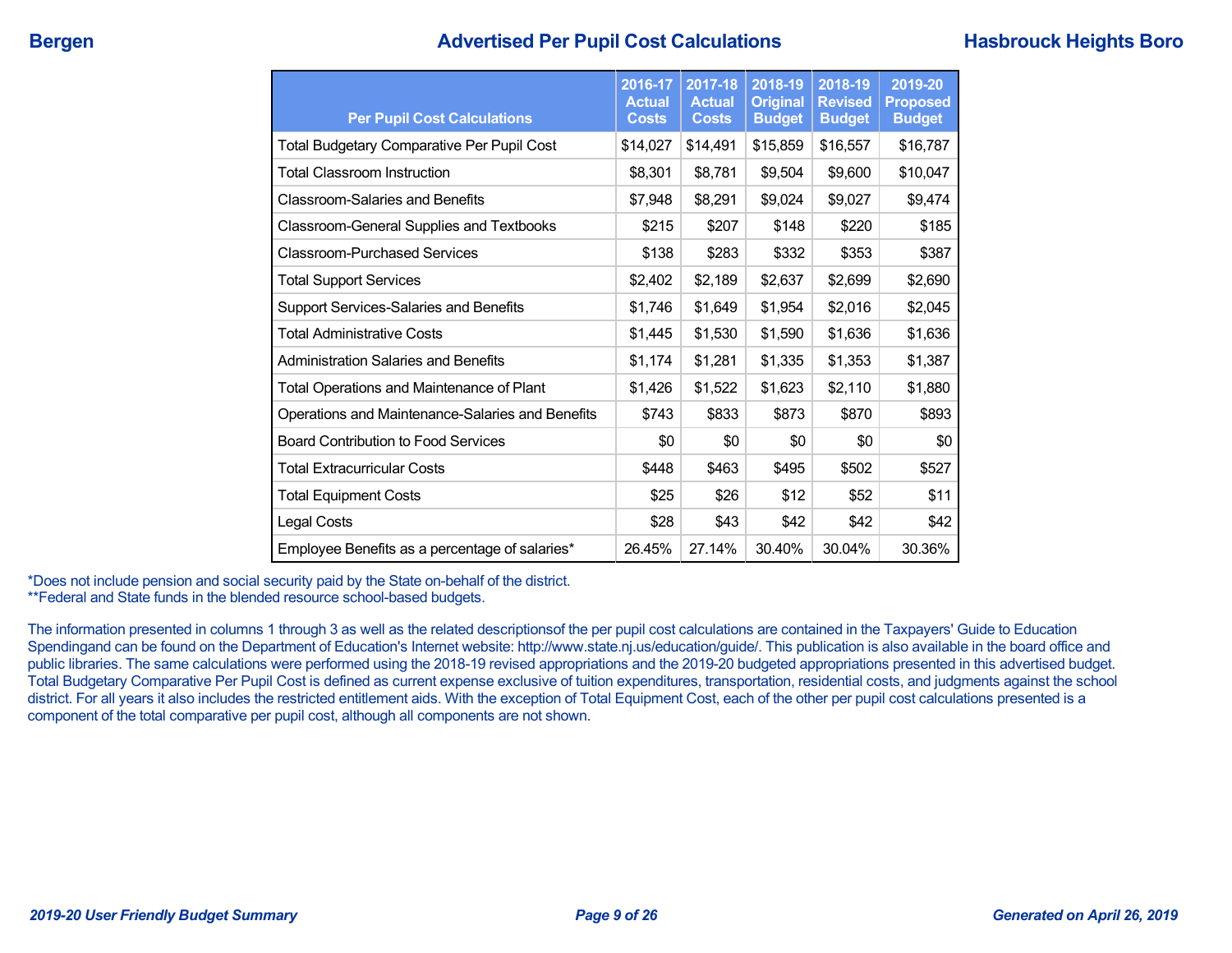## **Bergen Advertised Per Pupil Cost Calculations Hasbrouck Heights Boro**

| <b>Per Pupil Cost Calculations</b>                | 2016-17<br><b>Actual</b><br><b>Costs</b> | 2017-18<br><b>Actual</b><br><b>Costs</b> | 2018-19<br><b>Original</b><br><b>Budget</b> | 2018-19<br><b>Revised</b><br><b>Budget</b> | 2019-20<br><b>Proposed</b><br><b>Budget</b> |
|---------------------------------------------------|------------------------------------------|------------------------------------------|---------------------------------------------|--------------------------------------------|---------------------------------------------|
| <b>Total Budgetary Comparative Per Pupil Cost</b> | \$14,027                                 | \$14,491                                 | \$15,859                                    | \$16,557                                   | \$16,787                                    |
| <b>Total Classroom Instruction</b>                | \$8,301                                  | \$8,781                                  | \$9,504                                     | \$9,600                                    | \$10,047                                    |
| <b>Classroom-Salaries and Benefits</b>            | \$7,948                                  | \$8,291                                  | \$9,024                                     | \$9,027                                    | \$9,474                                     |
| <b>Classroom-General Supplies and Textbooks</b>   | \$215                                    | \$207                                    | \$148                                       | \$220                                      | \$185                                       |
| <b>Classroom-Purchased Services</b>               | \$138                                    | \$283                                    | \$332                                       | \$353                                      | \$387                                       |
| <b>Total Support Services</b>                     | \$2,402                                  | \$2,189                                  | \$2,637                                     | \$2,699                                    | \$2,690                                     |
| Support Services-Salaries and Benefits            | \$1,746                                  | \$1,649                                  | \$1,954                                     | \$2,016                                    | \$2,045                                     |
| <b>Total Administrative Costs</b>                 | \$1,445                                  | \$1,530                                  | \$1,590                                     | \$1,636                                    | \$1,636                                     |
| <b>Administration Salaries and Benefits</b>       | \$1,174                                  | \$1,281                                  | \$1,335                                     | \$1,353                                    | \$1,387                                     |
| Total Operations and Maintenance of Plant         | \$1,426                                  | \$1,522                                  | \$1,623                                     | \$2,110                                    | \$1,880                                     |
| Operations and Maintenance-Salaries and Benefits  | \$743                                    | \$833                                    | \$873                                       | \$870                                      | \$893                                       |
| <b>Board Contribution to Food Services</b>        | \$0                                      | \$0                                      | \$0                                         | \$0                                        | \$0                                         |
| <b>Total Extracurricular Costs</b>                | \$448                                    | \$463                                    | \$495                                       | \$502                                      | \$527                                       |
| <b>Total Equipment Costs</b>                      | \$25                                     | \$26                                     | \$12                                        | \$52                                       | \$11                                        |
| Legal Costs                                       | \$28                                     | \$43                                     | \$42                                        | \$42                                       | \$42                                        |
| Employee Benefits as a percentage of salaries*    | 26.45%                                   | 27.14%                                   | 30.40%                                      | 30.04%                                     | 30.36%                                      |

\*Does not include pension and social security paid by the State on-behalf of the district. \*\*Federal and State funds in the blended resource school-based budgets.

The information presented in columns 1 through 3 as well as the related descriptionsof the per pupil cost calculations are contained in the Taxpayers' Guide to Education Spendingand can be found on the Department of Education's Internet website: http://www.state.nj.us/education/guide/. This publication is also available in the board office and public libraries. The same calculations were performed using the 2018-19 revised appropriations and the 2019-20 budgeted appropriations presented in this advertised budget. Total Budgetary Comparative Per Pupil Cost is defined as current expense exclusive of tuition expenditures, transportation, residential costs, and judgments against the school district. For all years it also includes the restricted entitlement aids. With the exception of Total Equipment Cost, each of the other per pupil cost calculations presented is a component of the total comparative per pupil cost, although all components are not shown.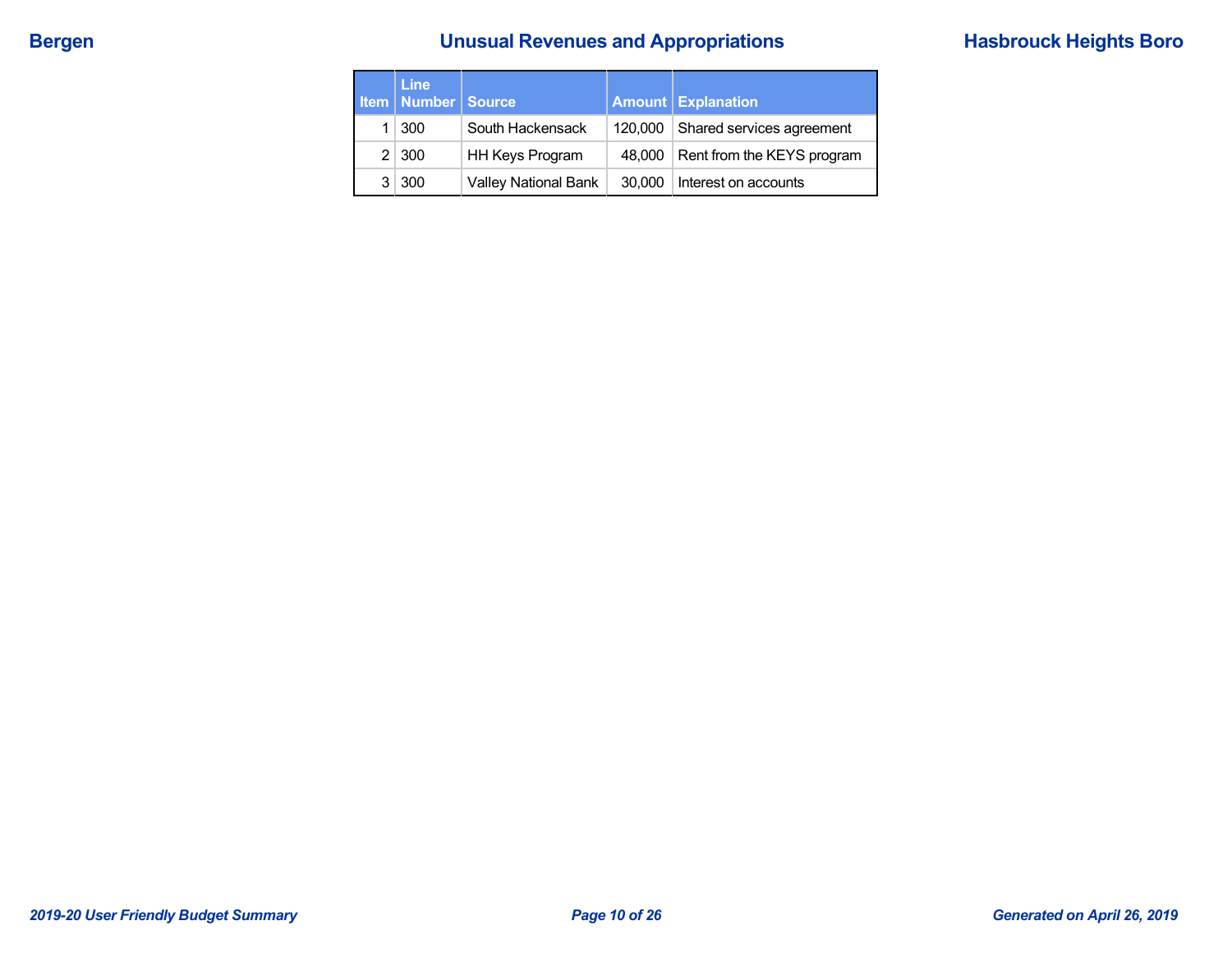# **Bergen Bergen Example 2 and Sevenues and Appropriations Hasbrouck Heights Boro**

| <b>Line</b><br><b>Item   Number   Source</b> |                             |         | <b>Amount Explanation</b>  |
|----------------------------------------------|-----------------------------|---------|----------------------------|
| $1 \mid 300$                                 | South Hackensack            | 120,000 | Shared services agreement  |
| $2 \mid 300$                                 | <b>HH Keys Program</b>      | 48.000  | Rent from the KEYS program |
| 3 300                                        | <b>Valley National Bank</b> | 30,000  | Interest on accounts       |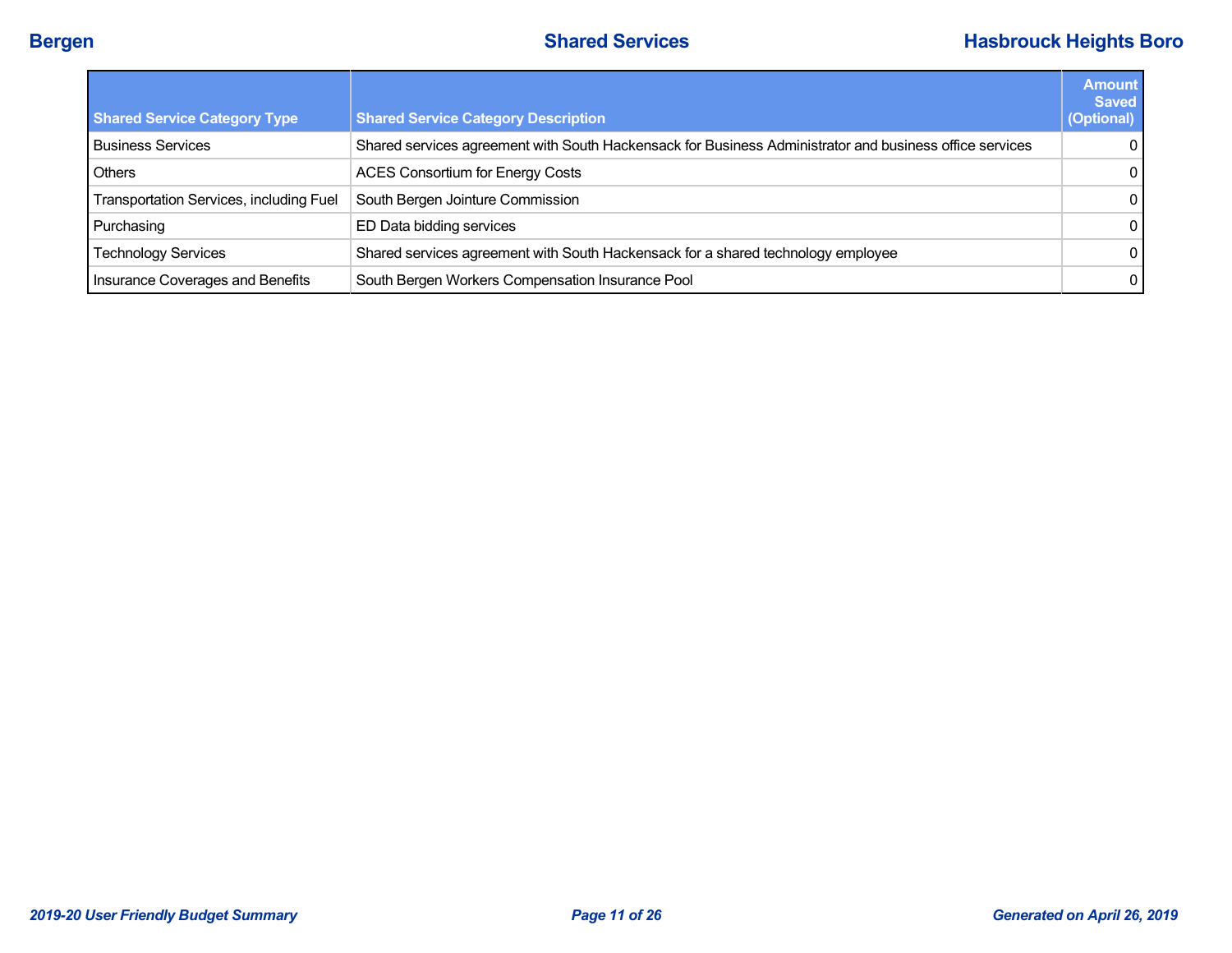| <b>Shared Service Category Type</b>     | <b>Shared Service Category Description</b>                                                              | <b>Amount</b><br><b>Saved</b><br>(Optional) |
|-----------------------------------------|---------------------------------------------------------------------------------------------------------|---------------------------------------------|
| <b>Business Services</b>                | Shared services agreement with South Hackensack for Business Administrator and business office services | $\Omega$                                    |
| <b>Others</b>                           | <b>ACES Consortium for Energy Costs</b>                                                                 | $\mathbf 0$                                 |
| Transportation Services, including Fuel | South Bergen Jointure Commission                                                                        | $\mathbf{0}$                                |
| Purchasing                              | ED Data bidding services                                                                                | $\mathbf{0}$                                |
| <b>Technology Services</b>              | Shared services agreement with South Hackensack for a shared technology employee                        | $\Omega$                                    |
| Insurance Coverages and Benefits        | South Bergen Workers Compensation Insurance Pool                                                        | $\mathbf{0}$                                |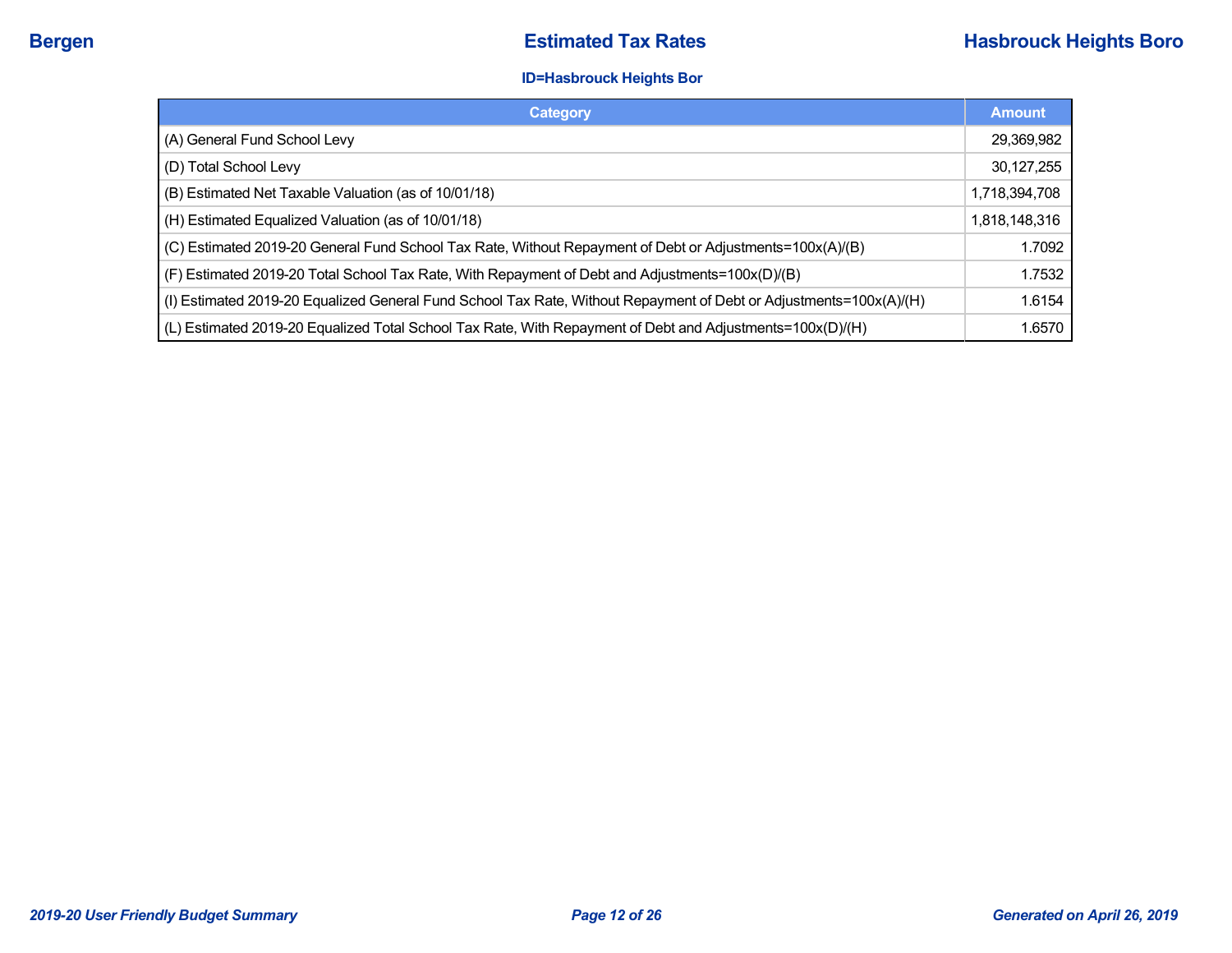### **ID=Hasbrouck Heights Bor**

| Category                                                                                                           | <b>Amount</b> |
|--------------------------------------------------------------------------------------------------------------------|---------------|
| (A) General Fund School Levy                                                                                       | 29,369,982    |
| (D) Total School Levy                                                                                              | 30,127,255    |
| (B) Estimated Net Taxable Valuation (as of 10/01/18)                                                               | 1,718,394,708 |
| (H) Estimated Equalized Valuation (as of 10/01/18)                                                                 | 1,818,148,316 |
| (C) Estimated 2019-20 General Fund School Tax Rate, Without Repayment of Debt or Adjustments=100x(A)/(B)           | 1.7092        |
| (F) Estimated 2019-20 Total School Tax Rate, With Repayment of Debt and Adjustments=100x(D)/(B)                    | 1.7532        |
| (I) Estimated 2019-20 Equalized General Fund School Tax Rate, Without Repayment of Debt or Adjustments=100x(A)/(H) | 1.6154        |
| (L) Estimated 2019-20 Equalized Total School Tax Rate, With Repayment of Debt and Adjustments=100x(D)/(H)          | 1.6570        |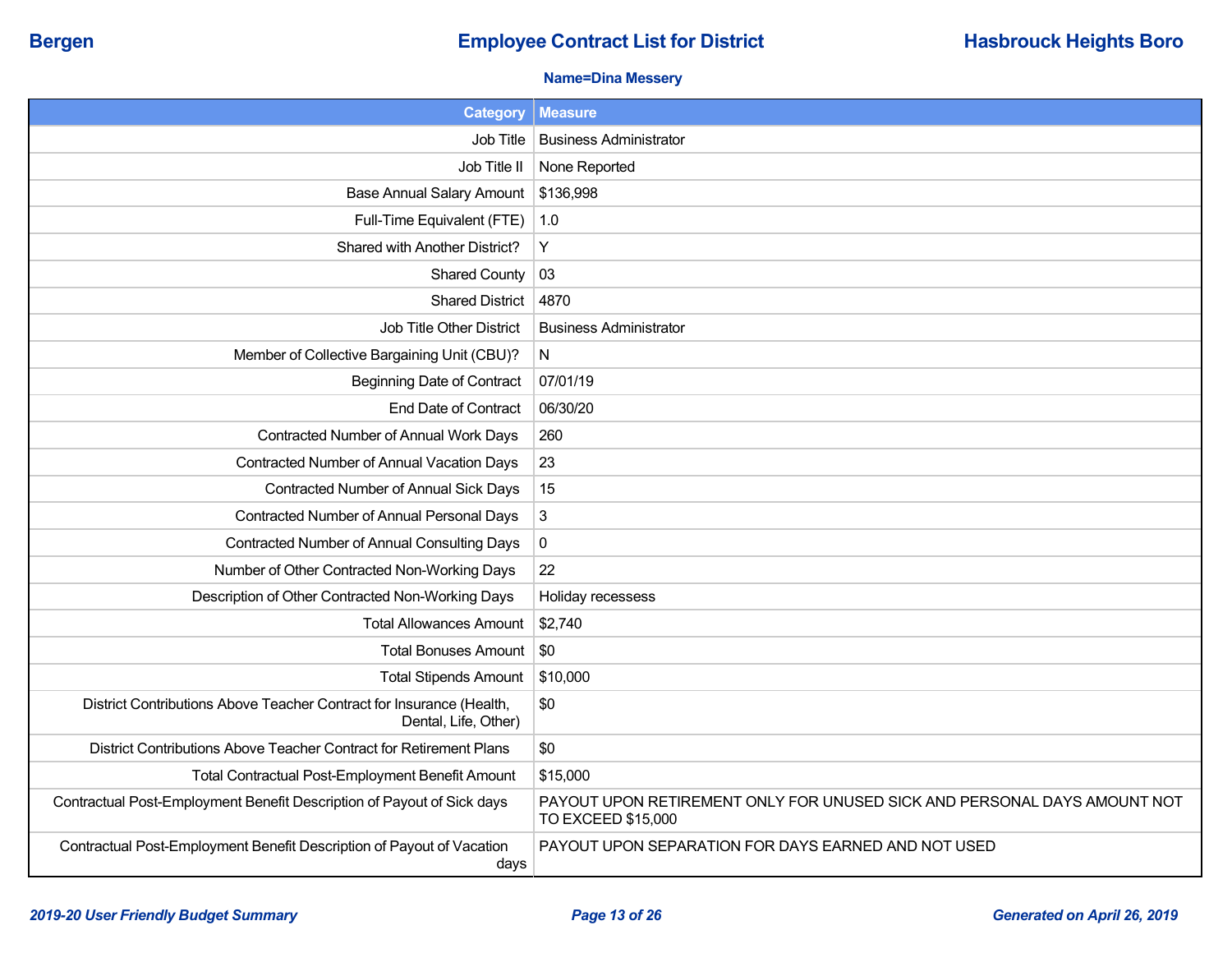## **Bergen Employee Contract List for District <b>Hasbrouck Heights Boro Employee Contract List for District**

### **Name=Dina Messery**

| <b>Category</b>                                                                              | <b>Measure</b>                                                                                 |
|----------------------------------------------------------------------------------------------|------------------------------------------------------------------------------------------------|
| Job Title                                                                                    | <b>Business Administrator</b>                                                                  |
| Job Title II                                                                                 | None Reported                                                                                  |
| <b>Base Annual Salary Amount</b>                                                             | \$136,998                                                                                      |
| Full-Time Equivalent (FTE)                                                                   | 1.0                                                                                            |
| Shared with Another District?                                                                | Y                                                                                              |
| <b>Shared County</b>                                                                         | 03                                                                                             |
| <b>Shared District</b>                                                                       | 4870                                                                                           |
| Job Title Other District                                                                     | <b>Business Administrator</b>                                                                  |
| Member of Collective Bargaining Unit (CBU)?                                                  | N                                                                                              |
| <b>Beginning Date of Contract</b>                                                            | 07/01/19                                                                                       |
| <b>End Date of Contract</b>                                                                  | 06/30/20                                                                                       |
| Contracted Number of Annual Work Days                                                        | 260                                                                                            |
| Contracted Number of Annual Vacation Days                                                    | 23                                                                                             |
| Contracted Number of Annual Sick Days                                                        | 15                                                                                             |
| Contracted Number of Annual Personal Days                                                    | $\mathfrak{S}$                                                                                 |
| <b>Contracted Number of Annual Consulting Days</b>                                           | $\pmb{0}$                                                                                      |
| Number of Other Contracted Non-Working Days                                                  | 22                                                                                             |
| Description of Other Contracted Non-Working Days                                             | Holiday recessess                                                                              |
| <b>Total Allowances Amount</b>                                                               | \$2,740                                                                                        |
| <b>Total Bonuses Amount</b>                                                                  | \$0                                                                                            |
| <b>Total Stipends Amount</b>                                                                 | \$10,000                                                                                       |
| District Contributions Above Teacher Contract for Insurance (Health,<br>Dental, Life, Other) | \$0                                                                                            |
| District Contributions Above Teacher Contract for Retirement Plans                           | \$0                                                                                            |
| Total Contractual Post-Employment Benefit Amount                                             | \$15,000                                                                                       |
| Contractual Post-Employment Benefit Description of Payout of Sick days                       | PAYOUT UPON RETIREMENT ONLY FOR UNUSED SICK AND PERSONAL DAYS AMOUNT NOT<br>TO EXCEED \$15,000 |
| Contractual Post-Employment Benefit Description of Payout of Vacation<br>days                | PAYOUT UPON SEPARATION FOR DAYS EARNED AND NOT USED                                            |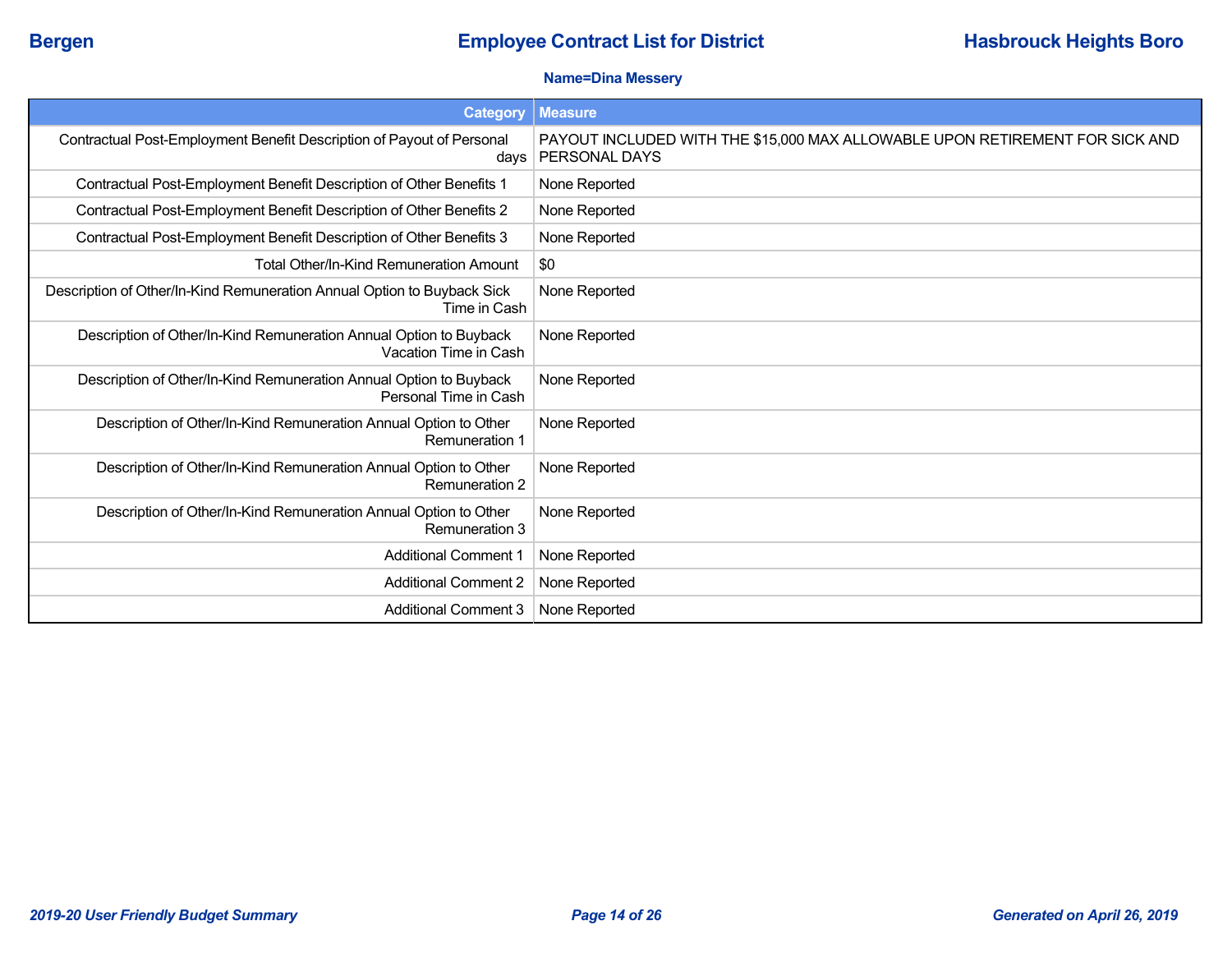### **Name=Dina Messery**

| <b>Category</b>                                                                             | <b>Measure</b>                                                                                |
|---------------------------------------------------------------------------------------------|-----------------------------------------------------------------------------------------------|
| Contractual Post-Employment Benefit Description of Payout of Personal<br>days               | PAYOUT INCLUDED WITH THE \$15,000 MAX ALLOWABLE UPON RETIREMENT FOR SICK AND<br>PERSONAL DAYS |
| Contractual Post-Employment Benefit Description of Other Benefits 1                         | None Reported                                                                                 |
| Contractual Post-Employment Benefit Description of Other Benefits 2                         | None Reported                                                                                 |
| Contractual Post-Employment Benefit Description of Other Benefits 3                         | None Reported                                                                                 |
| Total Other/In-Kind Remuneration Amount                                                     | \$0                                                                                           |
| Description of Other/In-Kind Remuneration Annual Option to Buyback Sick<br>Time in Cash     | None Reported                                                                                 |
| Description of Other/In-Kind Remuneration Annual Option to Buyback<br>Vacation Time in Cash | None Reported                                                                                 |
| Description of Other/In-Kind Remuneration Annual Option to Buyback<br>Personal Time in Cash | None Reported                                                                                 |
| Description of Other/In-Kind Remuneration Annual Option to Other<br><b>Remuneration 1</b>   | None Reported                                                                                 |
| Description of Other/In-Kind Remuneration Annual Option to Other<br>Remuneration 2          | None Reported                                                                                 |
| Description of Other/In-Kind Remuneration Annual Option to Other<br>Remuneration 3          | None Reported                                                                                 |
| <b>Additional Comment 1</b>                                                                 | None Reported                                                                                 |
| <b>Additional Comment 2</b>                                                                 | None Reported                                                                                 |
| <b>Additional Comment 3</b>                                                                 | None Reported                                                                                 |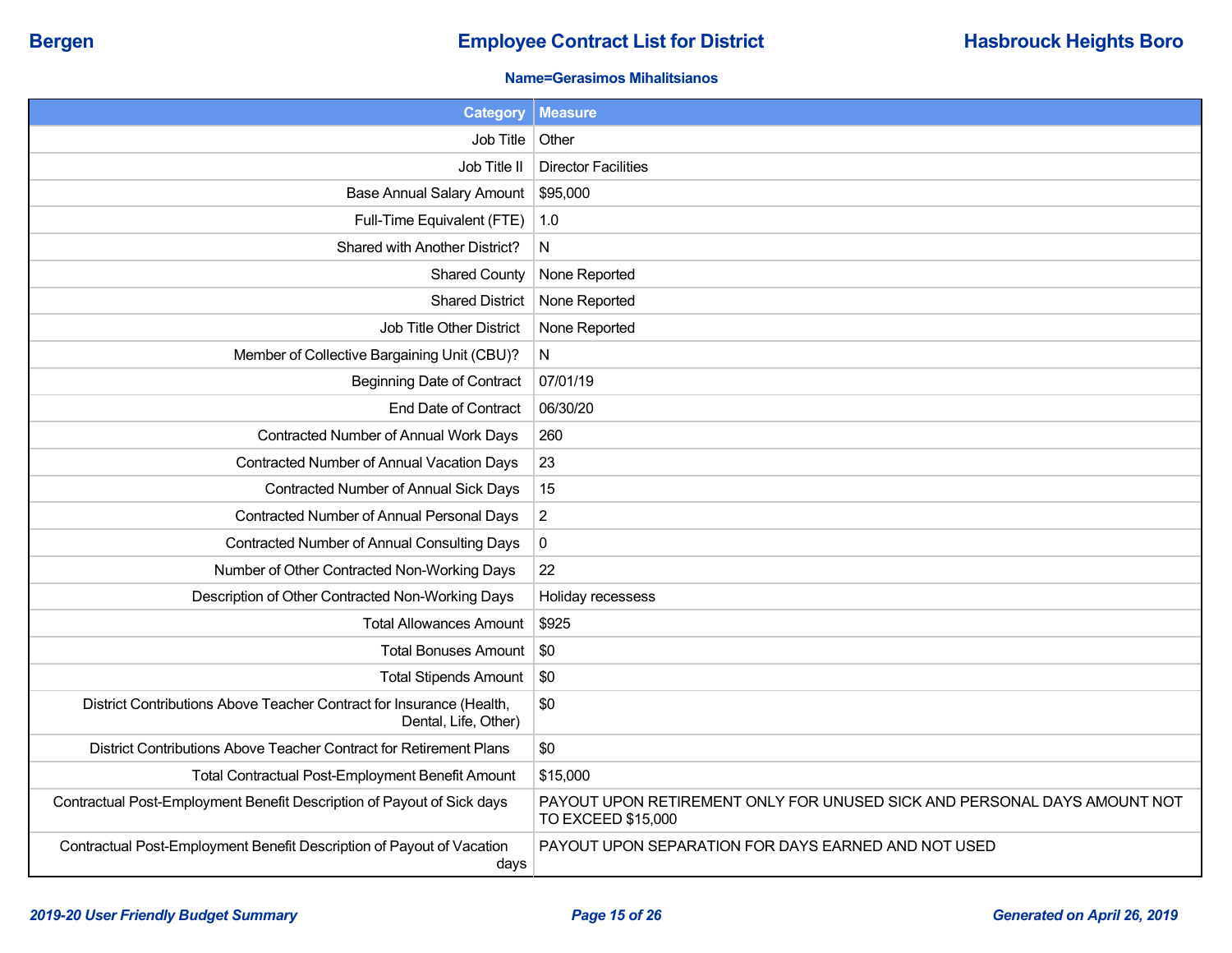### **Name=Gerasimos Mihalitsianos**

| <b>Category</b>                                                                              | <b>Measure</b>                                                                                 |
|----------------------------------------------------------------------------------------------|------------------------------------------------------------------------------------------------|
| Job Title                                                                                    | Other                                                                                          |
| Job Title II                                                                                 | <b>Director Facilities</b>                                                                     |
| <b>Base Annual Salary Amount</b>                                                             | \$95,000                                                                                       |
| Full-Time Equivalent (FTE)                                                                   | 1.0                                                                                            |
| Shared with Another District?                                                                | N                                                                                              |
| <b>Shared County</b>                                                                         | None Reported                                                                                  |
| <b>Shared District</b>                                                                       | None Reported                                                                                  |
| Job Title Other District                                                                     | None Reported                                                                                  |
| Member of Collective Bargaining Unit (CBU)?                                                  | $\mathsf{N}$                                                                                   |
| <b>Beginning Date of Contract</b>                                                            | 07/01/19                                                                                       |
| <b>End Date of Contract</b>                                                                  | 06/30/20                                                                                       |
| Contracted Number of Annual Work Days                                                        | 260                                                                                            |
| Contracted Number of Annual Vacation Days                                                    | 23                                                                                             |
| Contracted Number of Annual Sick Days                                                        | 15                                                                                             |
| Contracted Number of Annual Personal Days                                                    | $\overline{2}$                                                                                 |
| Contracted Number of Annual Consulting Days                                                  | $\pmb{0}$                                                                                      |
| Number of Other Contracted Non-Working Days                                                  | 22                                                                                             |
| Description of Other Contracted Non-Working Days                                             | Holiday recessess                                                                              |
| <b>Total Allowances Amount</b>                                                               | \$925                                                                                          |
| <b>Total Bonuses Amount</b>                                                                  | \$0                                                                                            |
| <b>Total Stipends Amount</b>                                                                 | \$0                                                                                            |
| District Contributions Above Teacher Contract for Insurance (Health,<br>Dental, Life, Other) | \$0                                                                                            |
| District Contributions Above Teacher Contract for Retirement Plans                           | \$0                                                                                            |
| <b>Total Contractual Post-Employment Benefit Amount</b>                                      | \$15,000                                                                                       |
| Contractual Post-Employment Benefit Description of Payout of Sick days                       | PAYOUT UPON RETIREMENT ONLY FOR UNUSED SICK AND PERSONAL DAYS AMOUNT NOT<br>TO EXCEED \$15,000 |
| Contractual Post-Employment Benefit Description of Payout of Vacation<br>days                | PAYOUT UPON SEPARATION FOR DAYS EARNED AND NOT USED                                            |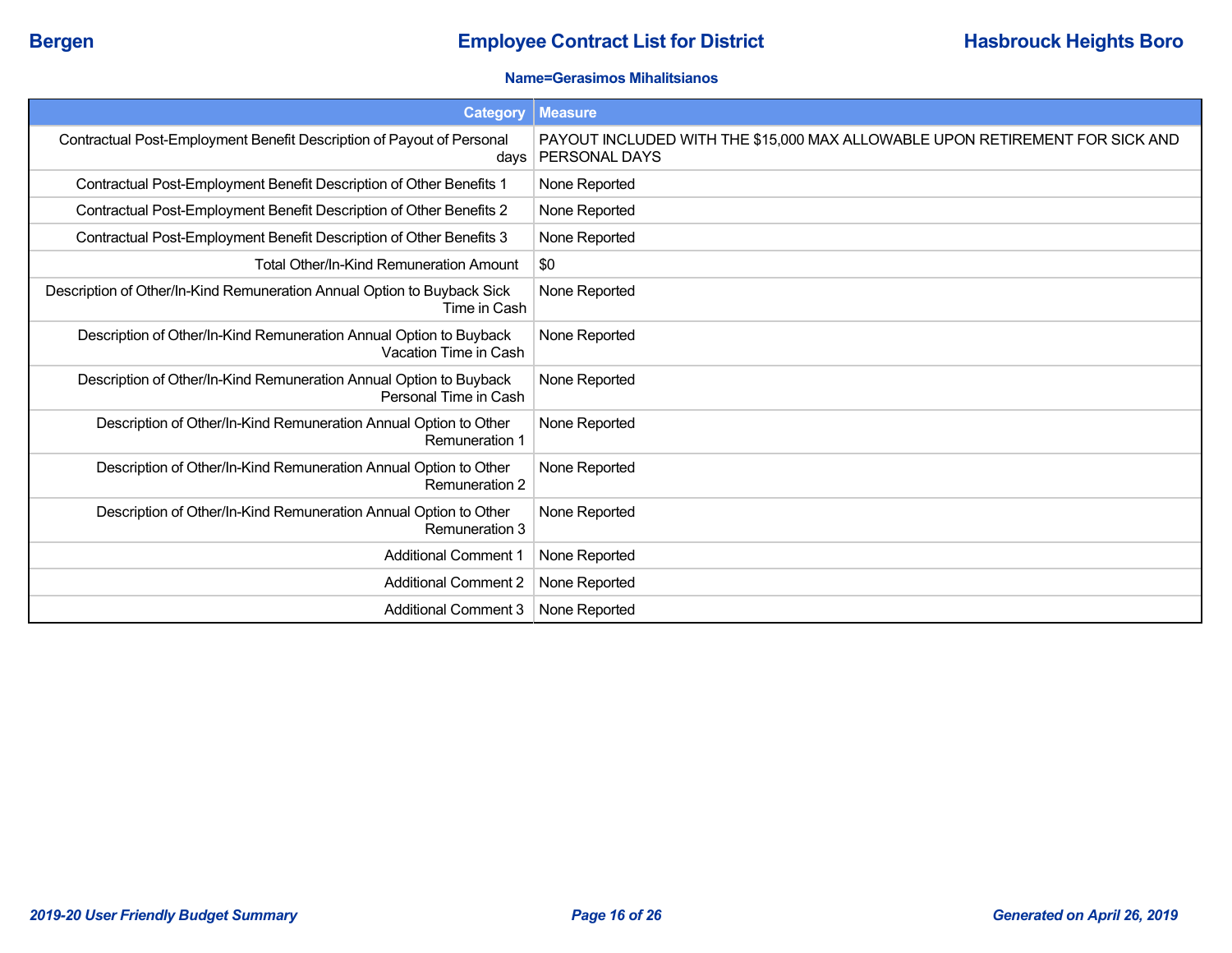### **Name=Gerasimos Mihalitsianos**

| Category                                                                                    | <b>Measure</b>                                                                                       |
|---------------------------------------------------------------------------------------------|------------------------------------------------------------------------------------------------------|
| Contractual Post-Employment Benefit Description of Payout of Personal<br>days               | PAYOUT INCLUDED WITH THE \$15,000 MAX ALLOWABLE UPON RETIREMENT FOR SICK AND<br><b>PERSONAL DAYS</b> |
| Contractual Post-Employment Benefit Description of Other Benefits 1                         | None Reported                                                                                        |
| Contractual Post-Employment Benefit Description of Other Benefits 2                         | None Reported                                                                                        |
| Contractual Post-Employment Benefit Description of Other Benefits 3                         | None Reported                                                                                        |
| <b>Total Other/In-Kind Remuneration Amount</b>                                              | \$0                                                                                                  |
| Description of Other/In-Kind Remuneration Annual Option to Buyback Sick<br>Time in Cash     | None Reported                                                                                        |
| Description of Other/In-Kind Remuneration Annual Option to Buyback<br>Vacation Time in Cash | None Reported                                                                                        |
| Description of Other/In-Kind Remuneration Annual Option to Buyback<br>Personal Time in Cash | None Reported                                                                                        |
| Description of Other/In-Kind Remuneration Annual Option to Other<br><b>Remuneration 1</b>   | None Reported                                                                                        |
| Description of Other/In-Kind Remuneration Annual Option to Other<br><b>Remuneration 2</b>   | None Reported                                                                                        |
| Description of Other/In-Kind Remuneration Annual Option to Other<br>Remuneration 3          | None Reported                                                                                        |
| <b>Additional Comment 1</b>                                                                 | None Reported                                                                                        |
| <b>Additional Comment 2</b>                                                                 | None Reported                                                                                        |
| <b>Additional Comment 3</b>                                                                 | None Reported                                                                                        |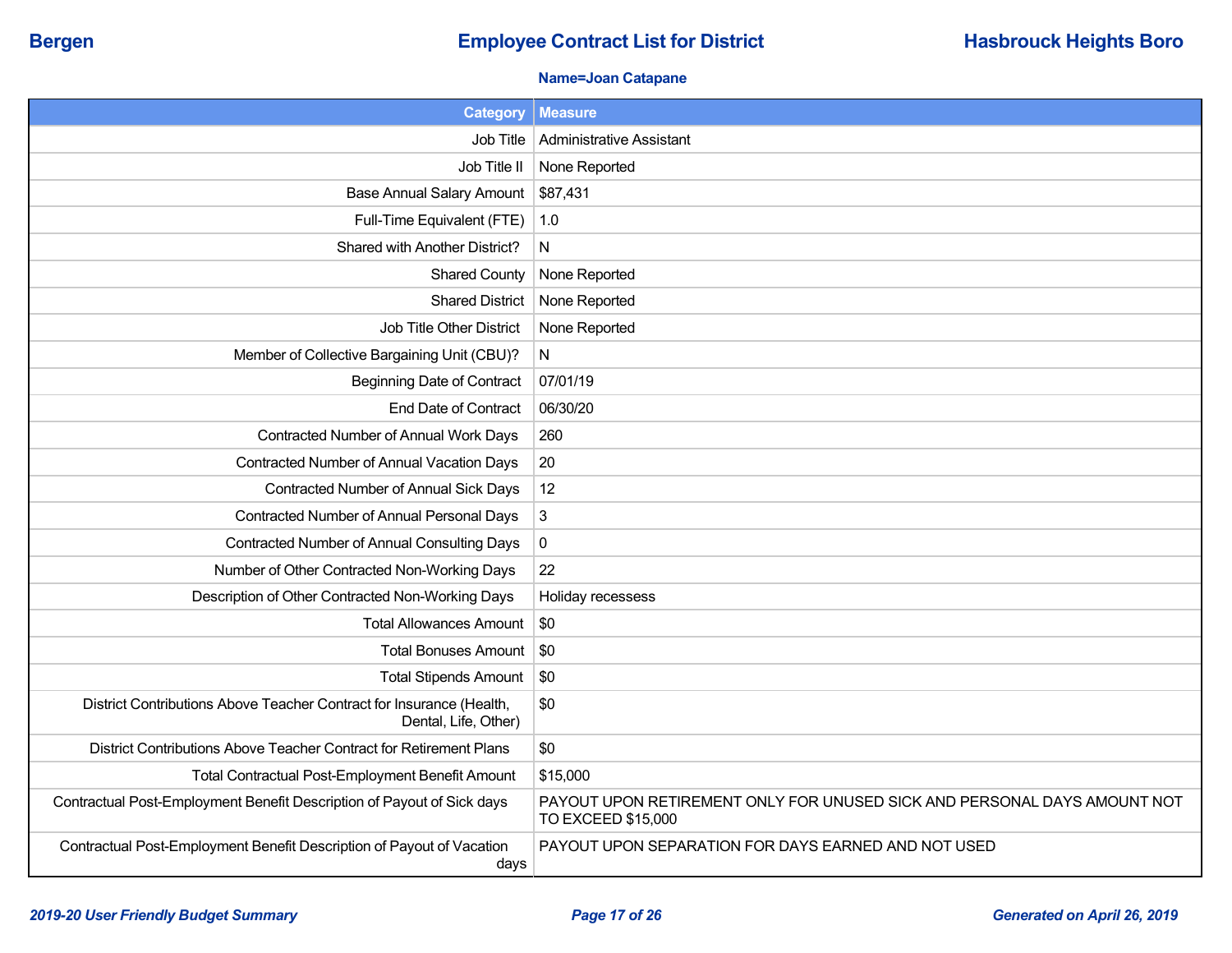## **Bergen Employee Contract List for District <b>Hasbrouck Heights Boro Employee Contract List for District**

### **Name=Joan Catapane**

| <b>Category</b>                                                                              | <b>Measure</b>                                                                                 |
|----------------------------------------------------------------------------------------------|------------------------------------------------------------------------------------------------|
| Job Title                                                                                    | <b>Administrative Assistant</b>                                                                |
| Job Title II                                                                                 | None Reported                                                                                  |
| <b>Base Annual Salary Amount</b>                                                             | \$87,431                                                                                       |
| Full-Time Equivalent (FTE)                                                                   | 1.0                                                                                            |
| Shared with Another District?                                                                | N                                                                                              |
| <b>Shared County</b>                                                                         | None Reported                                                                                  |
| <b>Shared District</b>                                                                       | None Reported                                                                                  |
| Job Title Other District                                                                     | None Reported                                                                                  |
| Member of Collective Bargaining Unit (CBU)?                                                  | N                                                                                              |
| <b>Beginning Date of Contract</b>                                                            | 07/01/19                                                                                       |
| <b>End Date of Contract</b>                                                                  | 06/30/20                                                                                       |
| Contracted Number of Annual Work Days                                                        | 260                                                                                            |
| Contracted Number of Annual Vacation Days                                                    | 20                                                                                             |
| Contracted Number of Annual Sick Days                                                        | 12                                                                                             |
| Contracted Number of Annual Personal Days                                                    | 3                                                                                              |
| Contracted Number of Annual Consulting Days                                                  | $\pmb{0}$                                                                                      |
| Number of Other Contracted Non-Working Days                                                  | 22                                                                                             |
| Description of Other Contracted Non-Working Days                                             | Holiday recessess                                                                              |
| <b>Total Allowances Amount</b>                                                               | \$0                                                                                            |
| <b>Total Bonuses Amount</b>                                                                  | \$0                                                                                            |
| <b>Total Stipends Amount</b>                                                                 | \$0                                                                                            |
| District Contributions Above Teacher Contract for Insurance (Health,<br>Dental, Life, Other) | \$0                                                                                            |
| District Contributions Above Teacher Contract for Retirement Plans                           | \$0                                                                                            |
| Total Contractual Post-Employment Benefit Amount                                             | \$15,000                                                                                       |
| Contractual Post-Employment Benefit Description of Payout of Sick days                       | PAYOUT UPON RETIREMENT ONLY FOR UNUSED SICK AND PERSONAL DAYS AMOUNT NOT<br>TO EXCEED \$15,000 |
| Contractual Post-Employment Benefit Description of Payout of Vacation<br>days                | PAYOUT UPON SEPARATION FOR DAYS EARNED AND NOT USED                                            |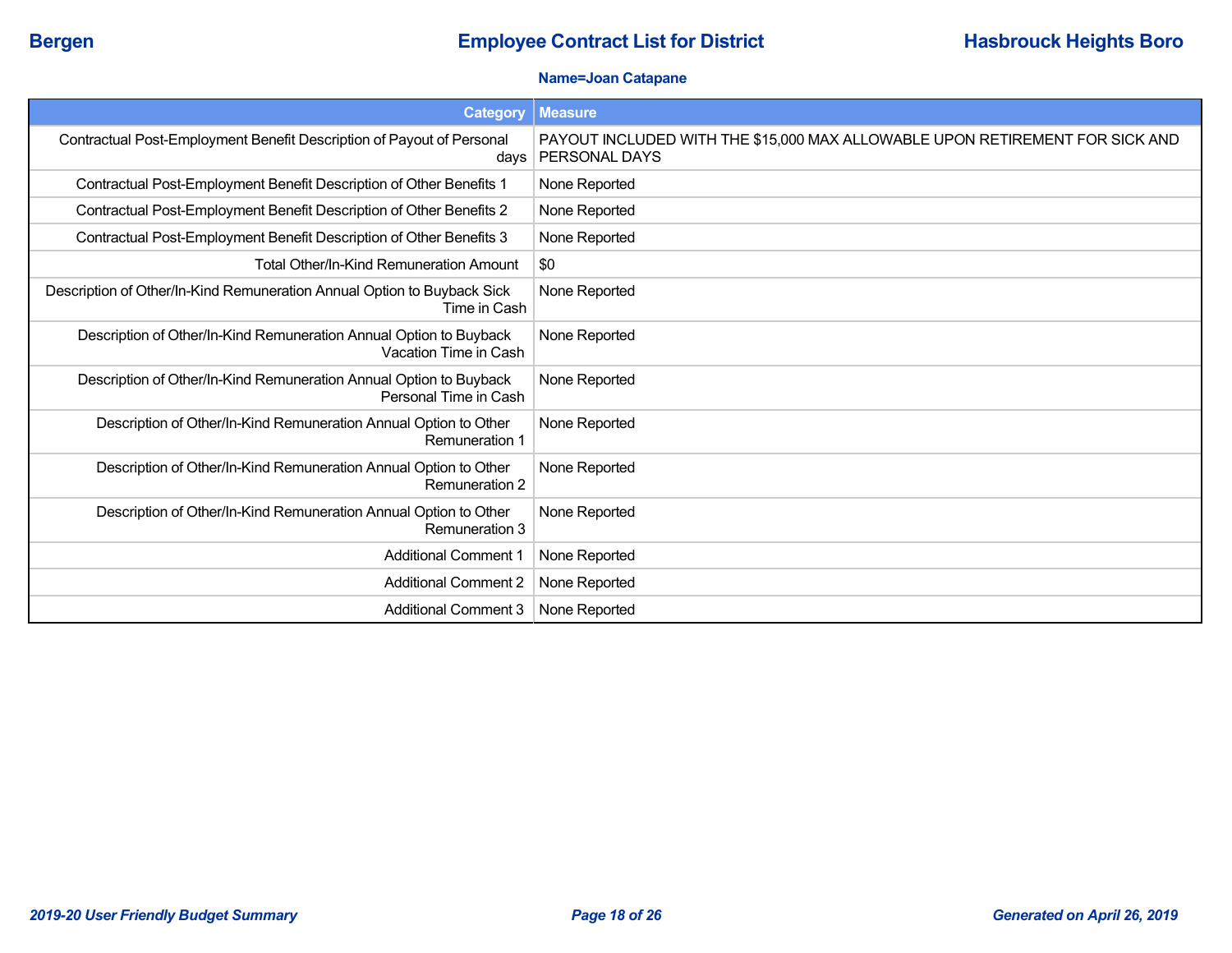### **Name=Joan Catapane**

| <b>Category</b>                                                                             | <b>Measure</b>                                                                                |
|---------------------------------------------------------------------------------------------|-----------------------------------------------------------------------------------------------|
| Contractual Post-Employment Benefit Description of Payout of Personal<br>davs               | PAYOUT INCLUDED WITH THE \$15,000 MAX ALLOWABLE UPON RETIREMENT FOR SICK AND<br>PERSONAL DAYS |
| Contractual Post-Employment Benefit Description of Other Benefits 1                         | None Reported                                                                                 |
| Contractual Post-Employment Benefit Description of Other Benefits 2                         | None Reported                                                                                 |
| Contractual Post-Employment Benefit Description of Other Benefits 3                         | None Reported                                                                                 |
| Total Other/In-Kind Remuneration Amount                                                     | \$0                                                                                           |
| Description of Other/In-Kind Remuneration Annual Option to Buyback Sick<br>Time in Cash     | None Reported                                                                                 |
| Description of Other/In-Kind Remuneration Annual Option to Buyback<br>Vacation Time in Cash | None Reported                                                                                 |
| Description of Other/In-Kind Remuneration Annual Option to Buyback<br>Personal Time in Cash | None Reported                                                                                 |
| Description of Other/In-Kind Remuneration Annual Option to Other<br><b>Remuneration 1</b>   | None Reported                                                                                 |
| Description of Other/In-Kind Remuneration Annual Option to Other<br><b>Remuneration 2</b>   | None Reported                                                                                 |
| Description of Other/In-Kind Remuneration Annual Option to Other<br><b>Remuneration 3</b>   | None Reported                                                                                 |
| <b>Additional Comment 1</b>                                                                 | None Reported                                                                                 |
| <b>Additional Comment 2</b>                                                                 | None Reported                                                                                 |
| <b>Additional Comment 3</b>                                                                 | None Reported                                                                                 |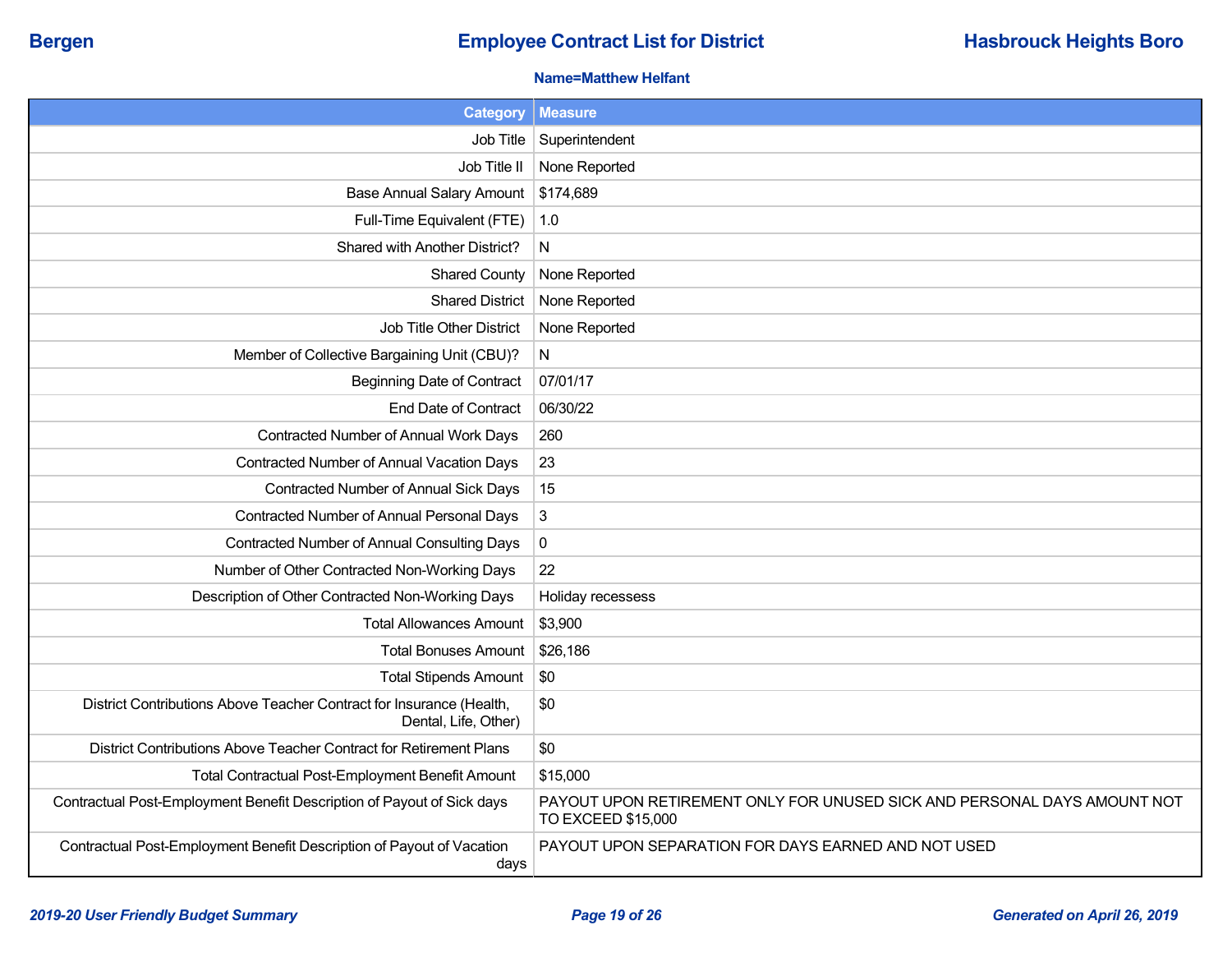### **Name=Matthew Helfant**

| <b>Category</b>                                                                              | <b>Measure</b>                                                                                 |
|----------------------------------------------------------------------------------------------|------------------------------------------------------------------------------------------------|
| Job Title                                                                                    | Superintendent                                                                                 |
| Job Title II                                                                                 | None Reported                                                                                  |
| <b>Base Annual Salary Amount</b>                                                             | \$174,689                                                                                      |
| Full-Time Equivalent (FTE)                                                                   | 1.0                                                                                            |
| Shared with Another District?                                                                | N                                                                                              |
| <b>Shared County</b>                                                                         | None Reported                                                                                  |
| <b>Shared District</b>                                                                       | None Reported                                                                                  |
| Job Title Other District                                                                     | None Reported                                                                                  |
| Member of Collective Bargaining Unit (CBU)?                                                  | N                                                                                              |
| <b>Beginning Date of Contract</b>                                                            | 07/01/17                                                                                       |
| End Date of Contract                                                                         | 06/30/22                                                                                       |
| Contracted Number of Annual Work Days                                                        | 260                                                                                            |
| Contracted Number of Annual Vacation Days                                                    | 23                                                                                             |
| Contracted Number of Annual Sick Days                                                        | 15                                                                                             |
| Contracted Number of Annual Personal Days                                                    | 3                                                                                              |
| Contracted Number of Annual Consulting Days                                                  | $\mathbf 0$                                                                                    |
| Number of Other Contracted Non-Working Days                                                  | 22                                                                                             |
| Description of Other Contracted Non-Working Days                                             | Holiday recessess                                                                              |
| <b>Total Allowances Amount</b>                                                               | \$3,900                                                                                        |
| <b>Total Bonuses Amount</b>                                                                  | \$26,186                                                                                       |
| <b>Total Stipends Amount</b>                                                                 | \$0                                                                                            |
| District Contributions Above Teacher Contract for Insurance (Health,<br>Dental, Life, Other) | \$0                                                                                            |
| District Contributions Above Teacher Contract for Retirement Plans                           | \$0                                                                                            |
| Total Contractual Post-Employment Benefit Amount                                             | \$15,000                                                                                       |
| Contractual Post-Employment Benefit Description of Payout of Sick days                       | PAYOUT UPON RETIREMENT ONLY FOR UNUSED SICK AND PERSONAL DAYS AMOUNT NOT<br>TO EXCEED \$15,000 |
| Contractual Post-Employment Benefit Description of Payout of Vacation<br>days                | PAYOUT UPON SEPARATION FOR DAYS EARNED AND NOT USED                                            |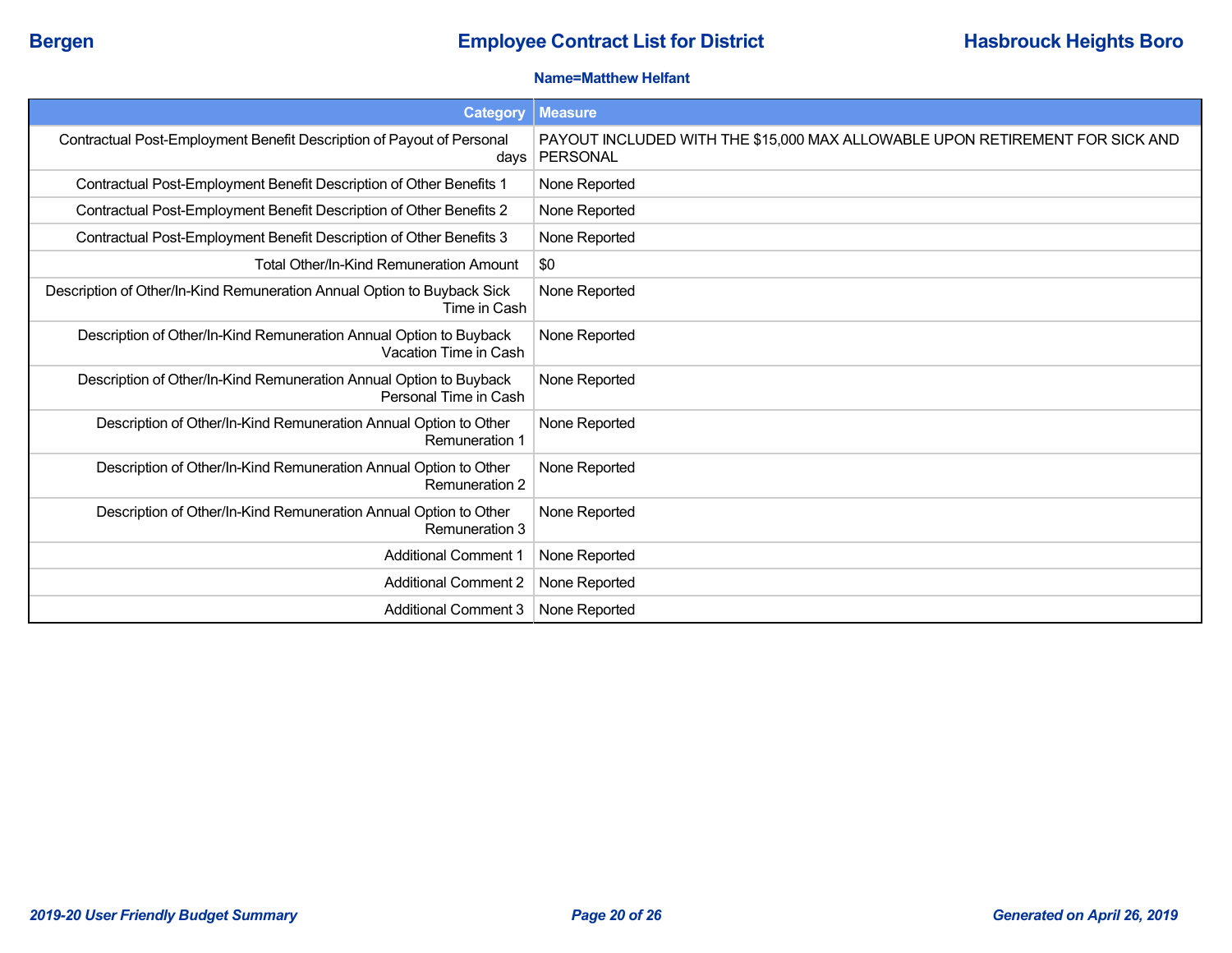### **Name=Matthew Helfant**

| <b>Category</b>                                                                             | <b>Measure</b>                                                                           |
|---------------------------------------------------------------------------------------------|------------------------------------------------------------------------------------------|
| Contractual Post-Employment Benefit Description of Payout of Personal<br>days               | PAYOUT INCLUDED WITH THE \$15,000 MAX ALLOWABLE UPON RETIREMENT FOR SICK AND<br>PERSONAL |
| Contractual Post-Employment Benefit Description of Other Benefits 1                         | None Reported                                                                            |
| Contractual Post-Employment Benefit Description of Other Benefits 2                         | None Reported                                                                            |
| Contractual Post-Employment Benefit Description of Other Benefits 3                         | None Reported                                                                            |
| Total Other/In-Kind Remuneration Amount                                                     | \$0                                                                                      |
| Description of Other/In-Kind Remuneration Annual Option to Buyback Sick<br>Time in Cash     | None Reported                                                                            |
| Description of Other/In-Kind Remuneration Annual Option to Buyback<br>Vacation Time in Cash | None Reported                                                                            |
| Description of Other/In-Kind Remuneration Annual Option to Buyback<br>Personal Time in Cash | None Reported                                                                            |
| Description of Other/In-Kind Remuneration Annual Option to Other<br><b>Remuneration 1</b>   | None Reported                                                                            |
| Description of Other/In-Kind Remuneration Annual Option to Other<br><b>Remuneration 2</b>   | None Reported                                                                            |
| Description of Other/In-Kind Remuneration Annual Option to Other<br><b>Remuneration 3</b>   | None Reported                                                                            |
| <b>Additional Comment 1</b>                                                                 | None Reported                                                                            |
| <b>Additional Comment 2</b>                                                                 | None Reported                                                                            |
| <b>Additional Comment 3</b>                                                                 | None Reported                                                                            |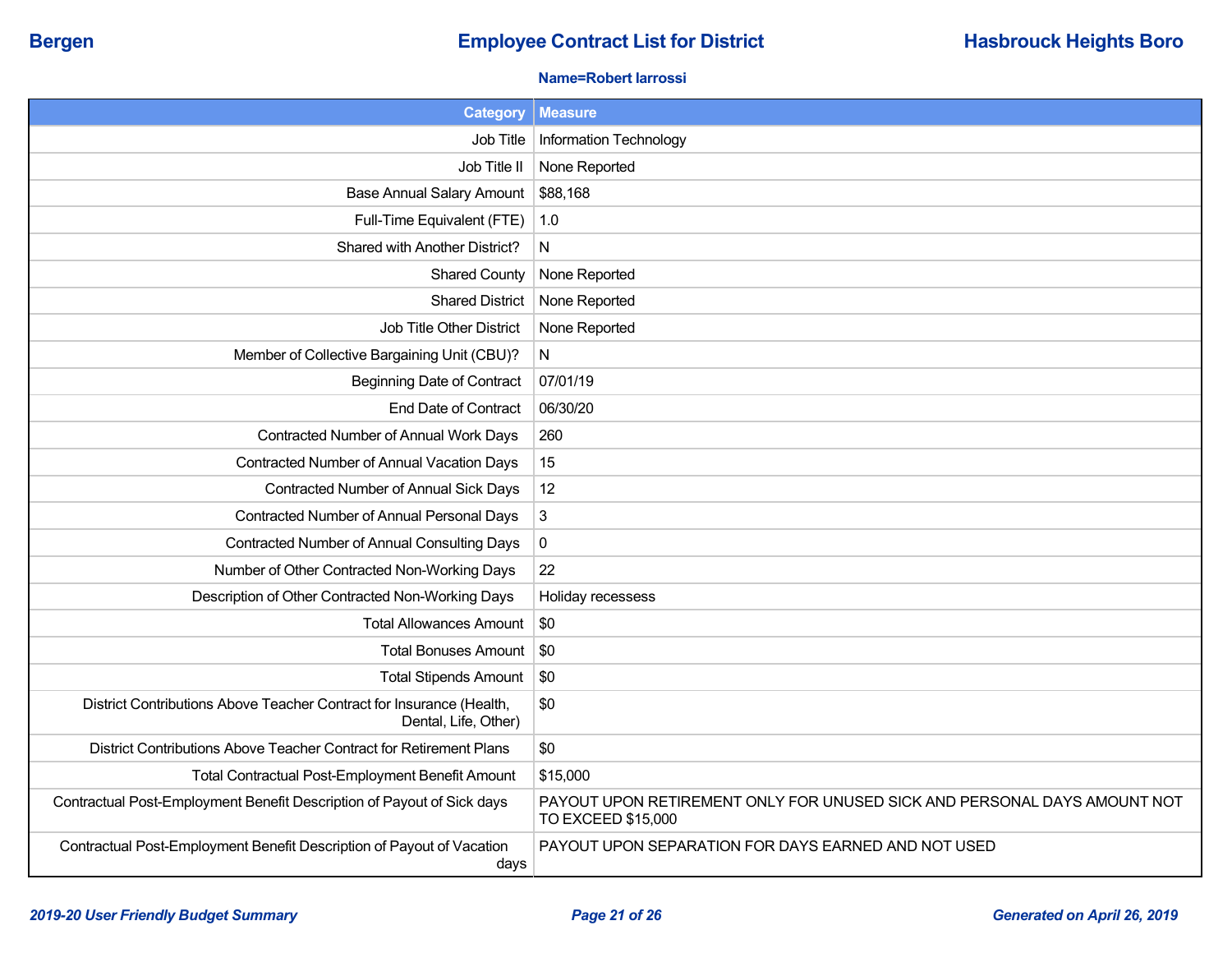## **Bergen Employee Contract List for District <b>Hasbrouck Heights Boro Employee Contract List for District**

### **Name=Robert Iarrossi**

| <b>Category</b>                                                                              | <b>Measure</b>                                                                                 |
|----------------------------------------------------------------------------------------------|------------------------------------------------------------------------------------------------|
| Job Title                                                                                    | Information Technology                                                                         |
| Job Title II                                                                                 | None Reported                                                                                  |
| <b>Base Annual Salary Amount</b>                                                             | \$88,168                                                                                       |
| Full-Time Equivalent (FTE)                                                                   | 1.0                                                                                            |
| Shared with Another District?                                                                | N                                                                                              |
| <b>Shared County</b>                                                                         | None Reported                                                                                  |
| <b>Shared District</b>                                                                       | None Reported                                                                                  |
| Job Title Other District                                                                     | None Reported                                                                                  |
| Member of Collective Bargaining Unit (CBU)?                                                  | N                                                                                              |
| <b>Beginning Date of Contract</b>                                                            | 07/01/19                                                                                       |
| End Date of Contract                                                                         | 06/30/20                                                                                       |
| Contracted Number of Annual Work Days                                                        | 260                                                                                            |
| Contracted Number of Annual Vacation Days                                                    | 15                                                                                             |
| Contracted Number of Annual Sick Days                                                        | 12                                                                                             |
| Contracted Number of Annual Personal Days                                                    | 3                                                                                              |
| <b>Contracted Number of Annual Consulting Days</b>                                           | $\pmb{0}$                                                                                      |
| Number of Other Contracted Non-Working Days                                                  | 22                                                                                             |
| Description of Other Contracted Non-Working Days                                             | Holiday recessess                                                                              |
| <b>Total Allowances Amount</b>                                                               | \$0                                                                                            |
| <b>Total Bonuses Amount</b>                                                                  | \$0                                                                                            |
| <b>Total Stipends Amount</b>                                                                 | \$0                                                                                            |
| District Contributions Above Teacher Contract for Insurance (Health,<br>Dental, Life, Other) | \$0                                                                                            |
| District Contributions Above Teacher Contract for Retirement Plans                           | \$0                                                                                            |
| Total Contractual Post-Employment Benefit Amount                                             | \$15,000                                                                                       |
| Contractual Post-Employment Benefit Description of Payout of Sick days                       | PAYOUT UPON RETIREMENT ONLY FOR UNUSED SICK AND PERSONAL DAYS AMOUNT NOT<br>TO EXCEED \$15,000 |
| Contractual Post-Employment Benefit Description of Payout of Vacation<br>days                | PAYOUT UPON SEPARATION FOR DAYS EARNED AND NOT USED                                            |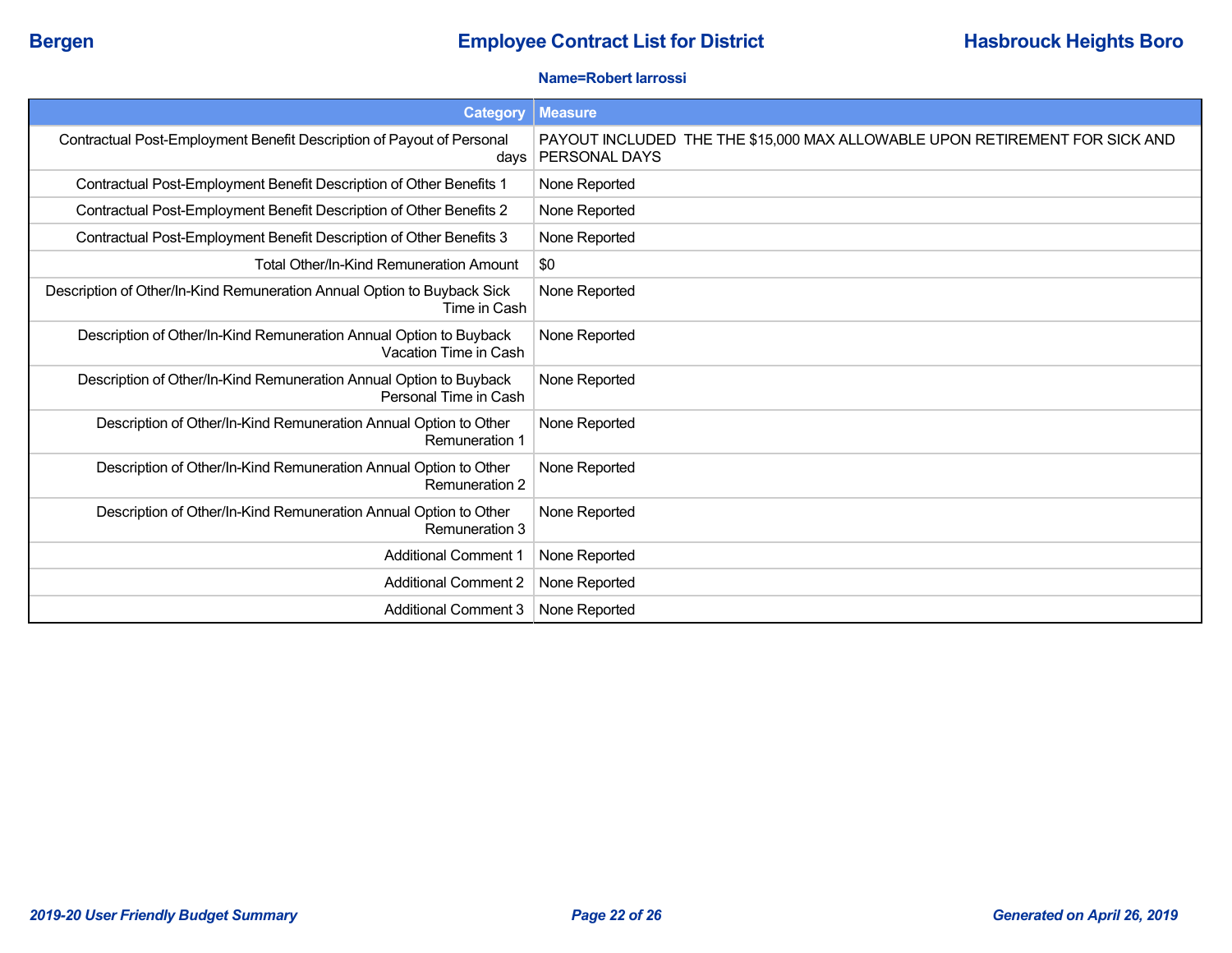### **Name=Robert Iarrossi**

| <b>Category</b>                                                                             | <b>Measure</b>                                                                               |
|---------------------------------------------------------------------------------------------|----------------------------------------------------------------------------------------------|
| Contractual Post-Employment Benefit Description of Payout of Personal<br>days               | PAYOUT INCLUDED THE THE \$15,000 MAX ALLOWABLE UPON RETIREMENT FOR SICK AND<br>PERSONAL DAYS |
| Contractual Post-Employment Benefit Description of Other Benefits 1                         | None Reported                                                                                |
| Contractual Post-Employment Benefit Description of Other Benefits 2                         | None Reported                                                                                |
| Contractual Post-Employment Benefit Description of Other Benefits 3                         | None Reported                                                                                |
| Total Other/In-Kind Remuneration Amount                                                     | \$0                                                                                          |
| Description of Other/In-Kind Remuneration Annual Option to Buyback Sick<br>Time in Cash     | None Reported                                                                                |
| Description of Other/In-Kind Remuneration Annual Option to Buyback<br>Vacation Time in Cash | None Reported                                                                                |
| Description of Other/In-Kind Remuneration Annual Option to Buyback<br>Personal Time in Cash | None Reported                                                                                |
| Description of Other/In-Kind Remuneration Annual Option to Other<br><b>Remuneration 1</b>   | None Reported                                                                                |
| Description of Other/In-Kind Remuneration Annual Option to Other<br><b>Remuneration 2</b>   | None Reported                                                                                |
| Description of Other/In-Kind Remuneration Annual Option to Other<br><b>Remuneration 3</b>   | None Reported                                                                                |
| <b>Additional Comment 1</b>                                                                 | None Reported                                                                                |
| <b>Additional Comment 2</b>                                                                 | None Reported                                                                                |
| <b>Additional Comment 3</b>                                                                 | None Reported                                                                                |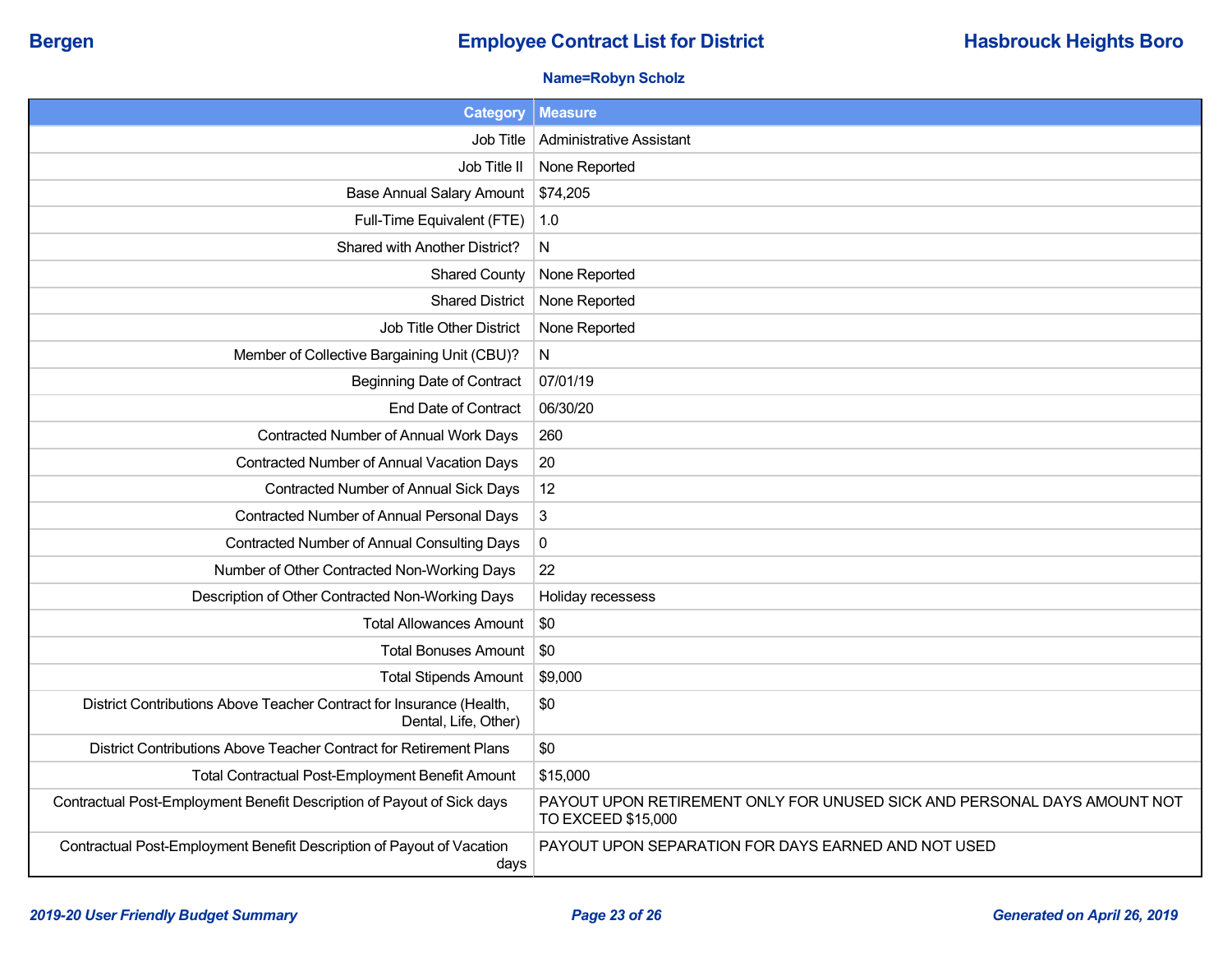## **Bergen Employee Contract List for District <b>Hasbrouck Heights Boro Employee Contract List for District**

### **Name=Robyn Scholz**

| <b>Category</b>                                                                              | <b>Measure</b>                                                                                 |
|----------------------------------------------------------------------------------------------|------------------------------------------------------------------------------------------------|
| Job Title                                                                                    | Administrative Assistant                                                                       |
| Job Title II                                                                                 | None Reported                                                                                  |
| <b>Base Annual Salary Amount</b>                                                             | \$74,205                                                                                       |
| Full-Time Equivalent (FTE)                                                                   | 1.0                                                                                            |
| Shared with Another District?                                                                | N                                                                                              |
| <b>Shared County</b>                                                                         | None Reported                                                                                  |
| <b>Shared District</b>                                                                       | None Reported                                                                                  |
| Job Title Other District                                                                     | None Reported                                                                                  |
| Member of Collective Bargaining Unit (CBU)?                                                  | N                                                                                              |
| <b>Beginning Date of Contract</b>                                                            | 07/01/19                                                                                       |
| End Date of Contract                                                                         | 06/30/20                                                                                       |
| Contracted Number of Annual Work Days                                                        | 260                                                                                            |
| Contracted Number of Annual Vacation Days                                                    | 20                                                                                             |
| Contracted Number of Annual Sick Days                                                        | 12                                                                                             |
| Contracted Number of Annual Personal Days                                                    | $\mathbf{3}$                                                                                   |
| <b>Contracted Number of Annual Consulting Days</b>                                           | $\pmb{0}$                                                                                      |
| Number of Other Contracted Non-Working Days                                                  | 22                                                                                             |
| Description of Other Contracted Non-Working Days                                             | Holiday recessess                                                                              |
| <b>Total Allowances Amount</b>                                                               | \$0                                                                                            |
| <b>Total Bonuses Amount</b>                                                                  | \$0                                                                                            |
| <b>Total Stipends Amount</b>                                                                 | \$9,000                                                                                        |
| District Contributions Above Teacher Contract for Insurance (Health,<br>Dental, Life, Other) | \$0                                                                                            |
| District Contributions Above Teacher Contract for Retirement Plans                           | \$0                                                                                            |
| <b>Total Contractual Post-Employment Benefit Amount</b>                                      | \$15,000                                                                                       |
| Contractual Post-Employment Benefit Description of Payout of Sick days                       | PAYOUT UPON RETIREMENT ONLY FOR UNUSED SICK AND PERSONAL DAYS AMOUNT NOT<br>TO EXCEED \$15,000 |
| Contractual Post-Employment Benefit Description of Payout of Vacation<br>days                | PAYOUT UPON SEPARATION FOR DAYS EARNED AND NOT USED                                            |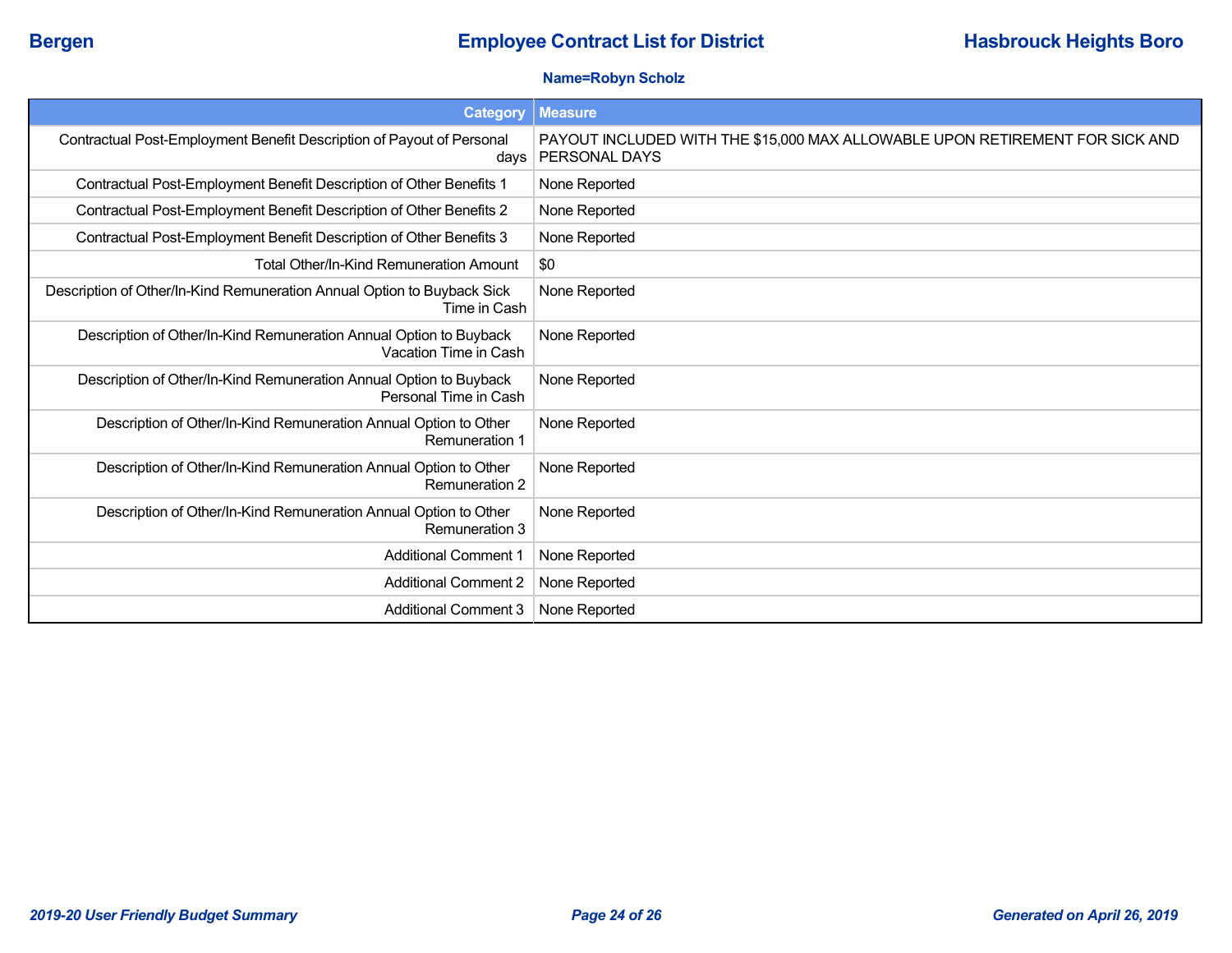### **Name=Robyn Scholz**

| <b>Category</b>                                                                             | <b>Measure</b>                                                                                |
|---------------------------------------------------------------------------------------------|-----------------------------------------------------------------------------------------------|
| Contractual Post-Employment Benefit Description of Payout of Personal<br>days               | PAYOUT INCLUDED WITH THE \$15,000 MAX ALLOWABLE UPON RETIREMENT FOR SICK AND<br>PERSONAL DAYS |
| Contractual Post-Employment Benefit Description of Other Benefits 1                         | None Reported                                                                                 |
| Contractual Post-Employment Benefit Description of Other Benefits 2                         | None Reported                                                                                 |
| Contractual Post-Employment Benefit Description of Other Benefits 3                         | None Reported                                                                                 |
| Total Other/In-Kind Remuneration Amount                                                     | \$0                                                                                           |
| Description of Other/In-Kind Remuneration Annual Option to Buyback Sick<br>Time in Cash     | None Reported                                                                                 |
| Description of Other/In-Kind Remuneration Annual Option to Buyback<br>Vacation Time in Cash | None Reported                                                                                 |
| Description of Other/In-Kind Remuneration Annual Option to Buyback<br>Personal Time in Cash | None Reported                                                                                 |
| Description of Other/In-Kind Remuneration Annual Option to Other<br><b>Remuneration 1</b>   | None Reported                                                                                 |
| Description of Other/In-Kind Remuneration Annual Option to Other<br><b>Remuneration 2</b>   | None Reported                                                                                 |
| Description of Other/In-Kind Remuneration Annual Option to Other<br><b>Remuneration 3</b>   | None Reported                                                                                 |
| <b>Additional Comment 1</b>                                                                 | None Reported                                                                                 |
| <b>Additional Comment 2</b>                                                                 | None Reported                                                                                 |
| <b>Additional Comment 3</b>                                                                 | None Reported                                                                                 |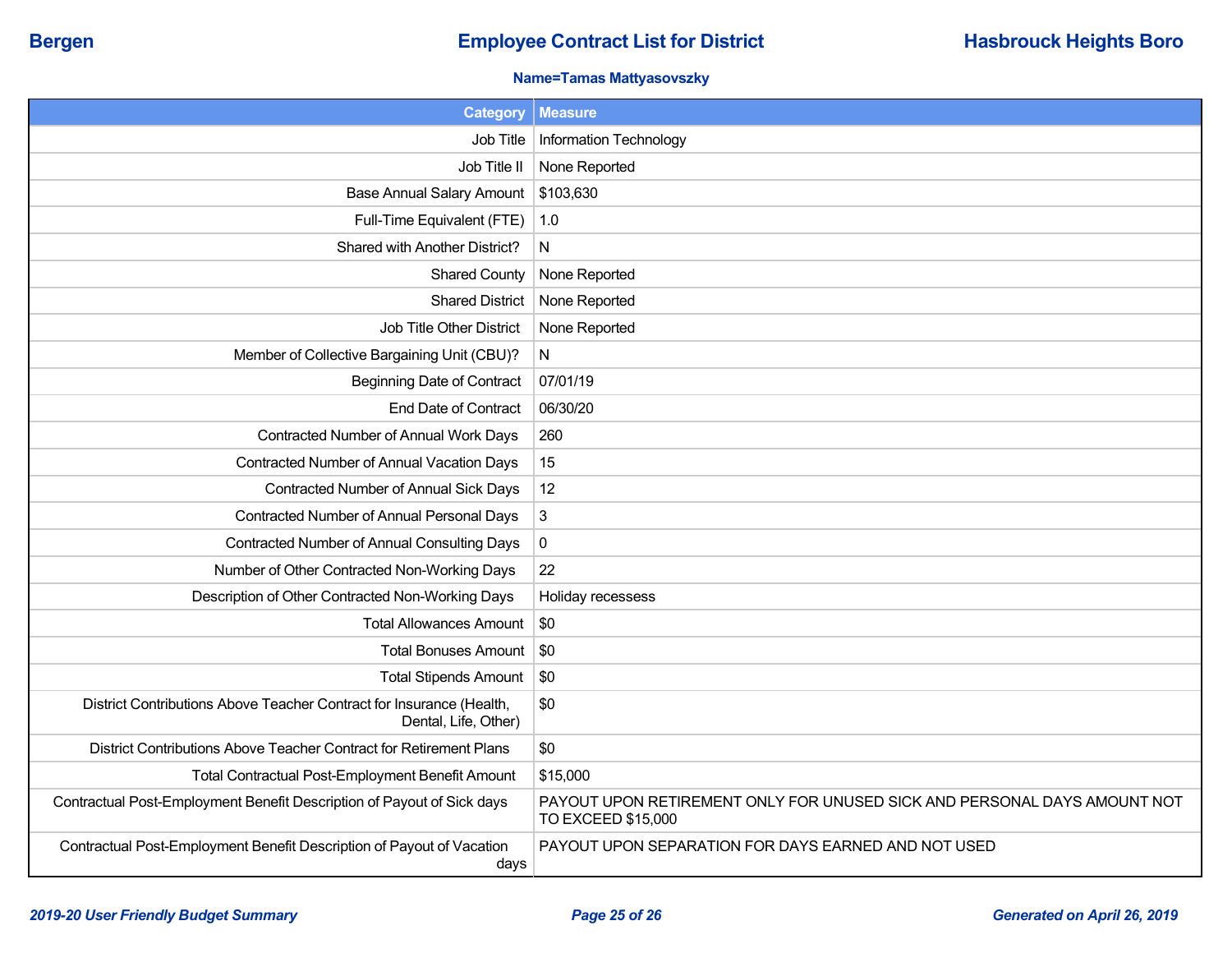### **Name=Tamas Mattyasovszky**

| <b>Category</b>                                                                              | <b>Measure</b>                                                                                 |
|----------------------------------------------------------------------------------------------|------------------------------------------------------------------------------------------------|
| Job Title                                                                                    | Information Technology                                                                         |
| Job Title II                                                                                 | None Reported                                                                                  |
| <b>Base Annual Salary Amount</b>                                                             | \$103,630                                                                                      |
| Full-Time Equivalent (FTE)                                                                   | 1.0                                                                                            |
| Shared with Another District?                                                                | N                                                                                              |
| <b>Shared County</b>                                                                         | None Reported                                                                                  |
| <b>Shared District</b>                                                                       | None Reported                                                                                  |
| Job Title Other District                                                                     | None Reported                                                                                  |
| Member of Collective Bargaining Unit (CBU)?                                                  | N                                                                                              |
| <b>Beginning Date of Contract</b>                                                            | 07/01/19                                                                                       |
| End Date of Contract                                                                         | 06/30/20                                                                                       |
| Contracted Number of Annual Work Days                                                        | 260                                                                                            |
| Contracted Number of Annual Vacation Days                                                    | 15                                                                                             |
| Contracted Number of Annual Sick Days                                                        | 12                                                                                             |
| Contracted Number of Annual Personal Days                                                    | 3                                                                                              |
| <b>Contracted Number of Annual Consulting Days</b>                                           | $\pmb{0}$                                                                                      |
| Number of Other Contracted Non-Working Days                                                  | 22                                                                                             |
| Description of Other Contracted Non-Working Days                                             | Holiday recessess                                                                              |
| <b>Total Allowances Amount</b>                                                               | \$0                                                                                            |
| <b>Total Bonuses Amount</b>                                                                  | \$0                                                                                            |
| <b>Total Stipends Amount</b>                                                                 | \$0                                                                                            |
| District Contributions Above Teacher Contract for Insurance (Health,<br>Dental, Life, Other) | \$0                                                                                            |
| District Contributions Above Teacher Contract for Retirement Plans                           | \$0                                                                                            |
| Total Contractual Post-Employment Benefit Amount                                             | \$15,000                                                                                       |
| Contractual Post-Employment Benefit Description of Payout of Sick days                       | PAYOUT UPON RETIREMENT ONLY FOR UNUSED SICK AND PERSONAL DAYS AMOUNT NOT<br>TO EXCEED \$15,000 |
| Contractual Post-Employment Benefit Description of Payout of Vacation<br>days                | PAYOUT UPON SEPARATION FOR DAYS EARNED AND NOT USED                                            |